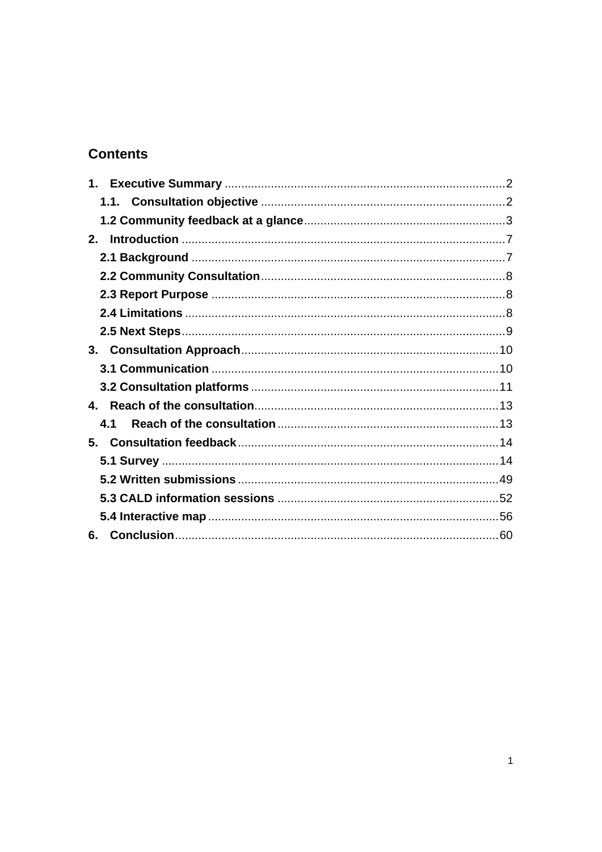# **Contents**

| 2.  |  |
|-----|--|
|     |  |
|     |  |
|     |  |
|     |  |
|     |  |
|     |  |
|     |  |
|     |  |
|     |  |
| 4.1 |  |
| 5.  |  |
|     |  |
|     |  |
|     |  |
|     |  |
| 6.  |  |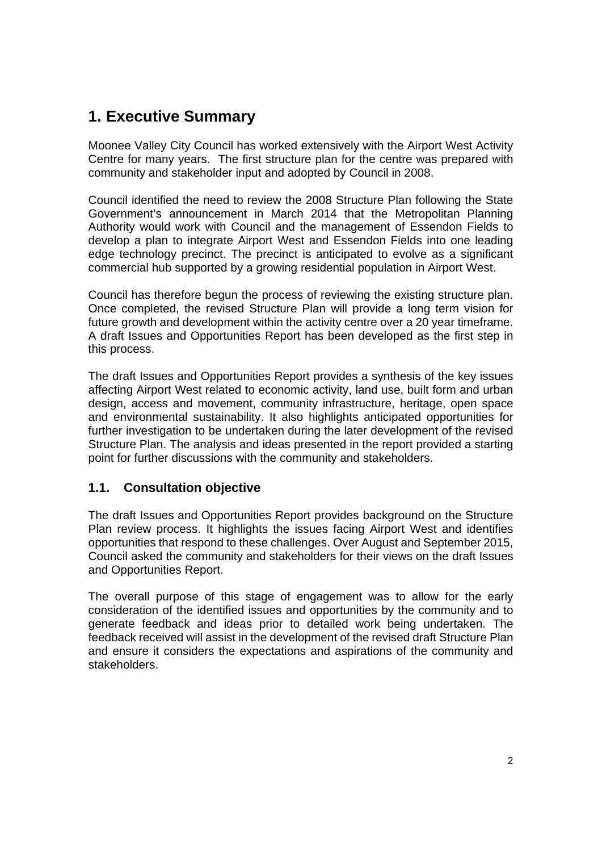# **1. Executive Summary**

Moonee Valley City Council has worked extensively with the Airport West Activity Centre for many years. The first structure plan for the centre was prepared with community and stakeholder input and adopted by Council in 2008.

Council identified the need to review the 2008 Structure Plan following the State Government's announcement in March 2014 that the Metropolitan Planning Authority would work with Council and the management of Essendon Fields to develop a plan to integrate Airport West and Essendon Fields into one leading edge technology precinct. The precinct is anticipated to evolve as a significant commercial hub supported by a growing residential population in Airport West.

Council has therefore begun the process of reviewing the existing structure plan. Once completed, the revised Structure Plan will provide a long term vision for future growth and development within the activity centre over a 20 year timeframe. A draft Issues and Opportunities Report has been developed as the first step in this process.

The draft Issues and Opportunities Report provides a synthesis of the key issues affecting Airport West related to economic activity, land use, built form and urban design, access and movement, community infrastructure, heritage, open space and environmental sustainability. It also highlights anticipated opportunities for further investigation to be undertaken during the later development of the revised Structure Plan. The analysis and ideas presented in the report provided a starting point for further discussions with the community and stakeholders.

## **1.1. Consultation objective**

The draft Issues and Opportunities Report provides background on the Structure Plan review process. It highlights the issues facing Airport West and identifies opportunities that respond to these challenges. Over August and September 2015, Council asked the community and stakeholders for their views on the draft Issues and Opportunities Report.

The overall purpose of this stage of engagement was to allow for the early consideration of the identified issues and opportunities by the community and to generate feedback and ideas prior to detailed work being undertaken. The feedback received will assist in the development of the revised draft Structure Plan and ensure it considers the expectations and aspirations of the community and stakeholders.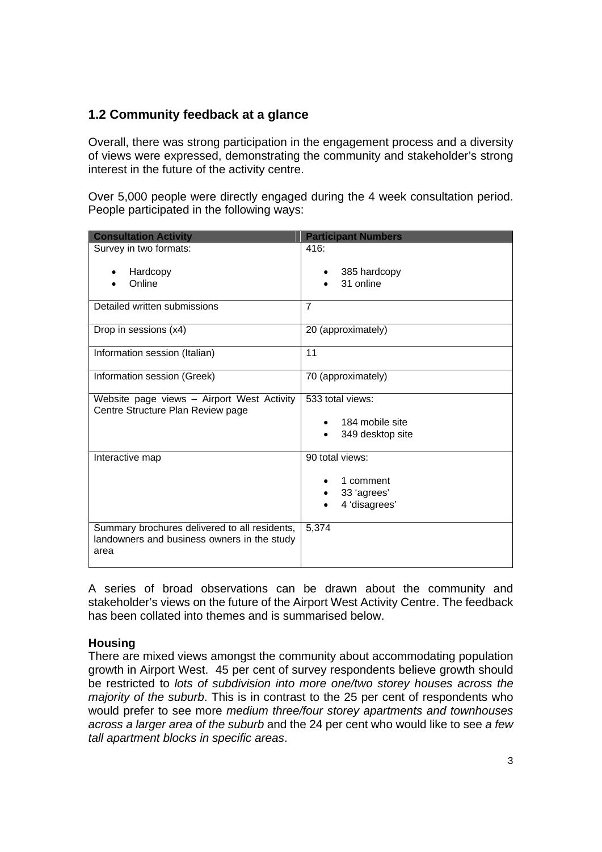## **1.2 Community feedback at a glance**

Overall, there was strong participation in the engagement process and a diversity of views were expressed, demonstrating the community and stakeholder's strong interest in the future of the activity centre.

Over 5,000 people were directly engaged during the 4 week consultation period. People participated in the following ways:

| <b>Consultation Activity</b>                                                                         | <b>Participant Numbers</b>                                   |
|------------------------------------------------------------------------------------------------------|--------------------------------------------------------------|
| Survey in two formats:                                                                               | 416:                                                         |
| Hardcopy<br>٠<br>Online                                                                              | 385 hardcopy<br>31 online                                    |
| Detailed written submissions                                                                         | 7                                                            |
| Drop in sessions (x4)                                                                                | 20 (approximately)                                           |
| Information session (Italian)                                                                        | 11                                                           |
| Information session (Greek)                                                                          | 70 (approximately)                                           |
| Website page views - Airport West Activity<br>Centre Structure Plan Review page                      | 533 total views:<br>184 mobile site<br>349 desktop site      |
| Interactive map                                                                                      | 90 total views:<br>1 comment<br>33 'agrees'<br>4 'disagrees' |
| Summary brochures delivered to all residents,<br>landowners and business owners in the study<br>area | 5,374                                                        |

A series of broad observations can be drawn about the community and stakeholder's views on the future of the Airport West Activity Centre. The feedback has been collated into themes and is summarised below.

## **Housing**

There are mixed views amongst the community about accommodating population growth in Airport West. 45 per cent of survey respondents believe growth should be restricted to *lots of subdivision into more one/two storey houses across the majority of the suburb*. This is in contrast to the 25 per cent of respondents who would prefer to see more *medium three/four storey apartments and townhouses across a larger area of the suburb* and the 24 per cent who would like to see *a few tall apartment blocks in specific areas*.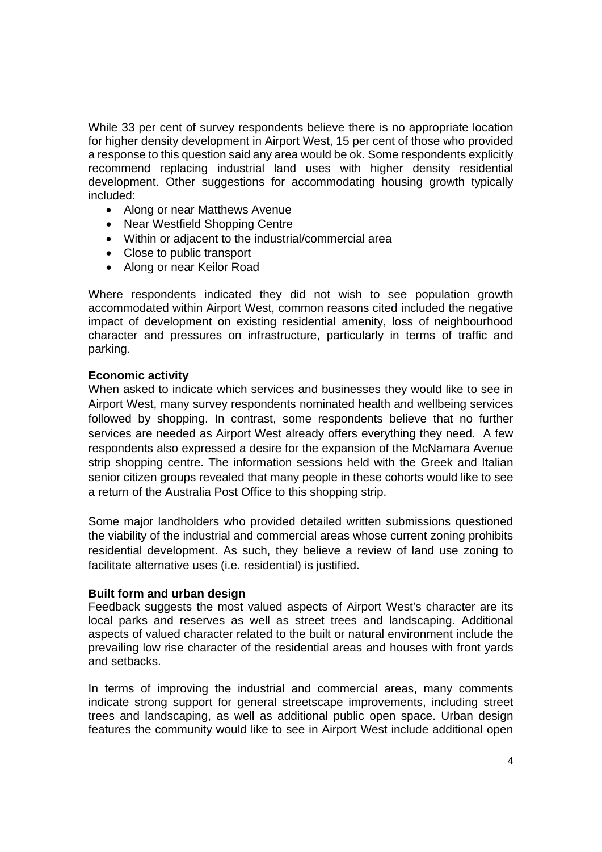While 33 per cent of survey respondents believe there is no appropriate location for higher density development in Airport West, 15 per cent of those who provided a response to this question said any area would be ok. Some respondents explicitly recommend replacing industrial land uses with higher density residential development. Other suggestions for accommodating housing growth typically included:

- Along or near Matthews Avenue
- Near Westfield Shopping Centre
- Within or adjacent to the industrial/commercial area
- Close to public transport
- Along or near Keilor Road

Where respondents indicated they did not wish to see population growth accommodated within Airport West, common reasons cited included the negative impact of development on existing residential amenity, loss of neighbourhood character and pressures on infrastructure, particularly in terms of traffic and parking.

## **Economic activity**

When asked to indicate which services and businesses they would like to see in Airport West, many survey respondents nominated health and wellbeing services followed by shopping. In contrast, some respondents believe that no further services are needed as Airport West already offers everything they need. A few respondents also expressed a desire for the expansion of the McNamara Avenue strip shopping centre. The information sessions held with the Greek and Italian senior citizen groups revealed that many people in these cohorts would like to see a return of the Australia Post Office to this shopping strip.

Some major landholders who provided detailed written submissions questioned the viability of the industrial and commercial areas whose current zoning prohibits residential development. As such, they believe a review of land use zoning to facilitate alternative uses (i.e. residential) is justified.

## **Built form and urban design**

Feedback suggests the most valued aspects of Airport West's character are its local parks and reserves as well as street trees and landscaping. Additional aspects of valued character related to the built or natural environment include the prevailing low rise character of the residential areas and houses with front yards and setbacks.

In terms of improving the industrial and commercial areas, many comments indicate strong support for general streetscape improvements, including street trees and landscaping, as well as additional public open space. Urban design features the community would like to see in Airport West include additional open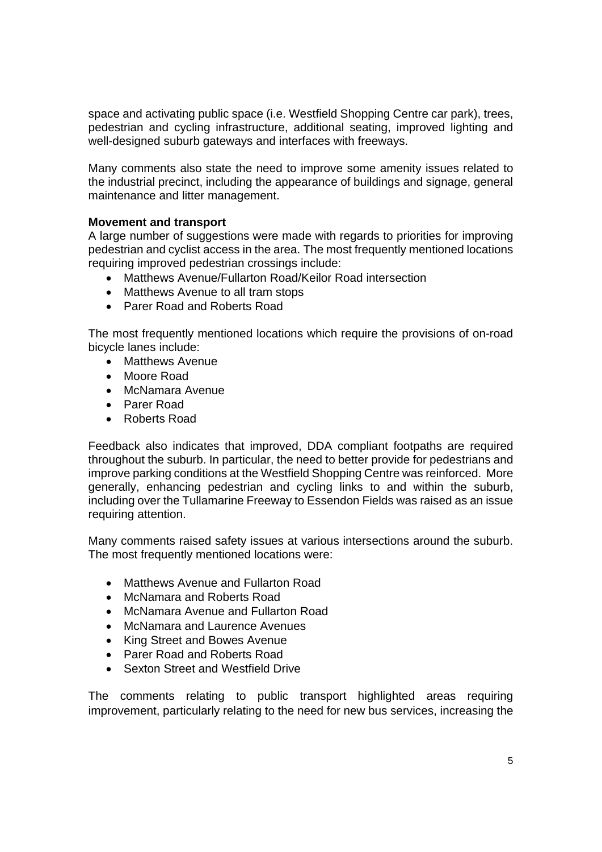space and activating public space (i.e. Westfield Shopping Centre car park), trees, pedestrian and cycling infrastructure, additional seating, improved lighting and well-designed suburb gateways and interfaces with freeways.

Many comments also state the need to improve some amenity issues related to the industrial precinct, including the appearance of buildings and signage, general maintenance and litter management.

## **Movement and transport**

A large number of suggestions were made with regards to priorities for improving pedestrian and cyclist access in the area. The most frequently mentioned locations requiring improved pedestrian crossings include:

- Matthews Avenue/Fullarton Road/Keilor Road intersection
- Matthews Avenue to all tram stops
- Parer Road and Roberts Road

The most frequently mentioned locations which require the provisions of on-road bicycle lanes include:

- Matthews Avenue
- Moore Road
- McNamara Avenue
- Parer Road
- Roberts Road

Feedback also indicates that improved, DDA compliant footpaths are required throughout the suburb. In particular, the need to better provide for pedestrians and improve parking conditions at the Westfield Shopping Centre was reinforced. More generally, enhancing pedestrian and cycling links to and within the suburb, including over the Tullamarine Freeway to Essendon Fields was raised as an issue requiring attention.

Many comments raised safety issues at various intersections around the suburb. The most frequently mentioned locations were:

- Matthews Avenue and Fullarton Road
- McNamara and Roberts Road
- McNamara Avenue and Fullarton Road
- McNamara and Laurence Avenues
- King Street and Bowes Avenue
- Parer Road and Roberts Road
- Sexton Street and Westfield Drive

The comments relating to public transport highlighted areas requiring improvement, particularly relating to the need for new bus services, increasing the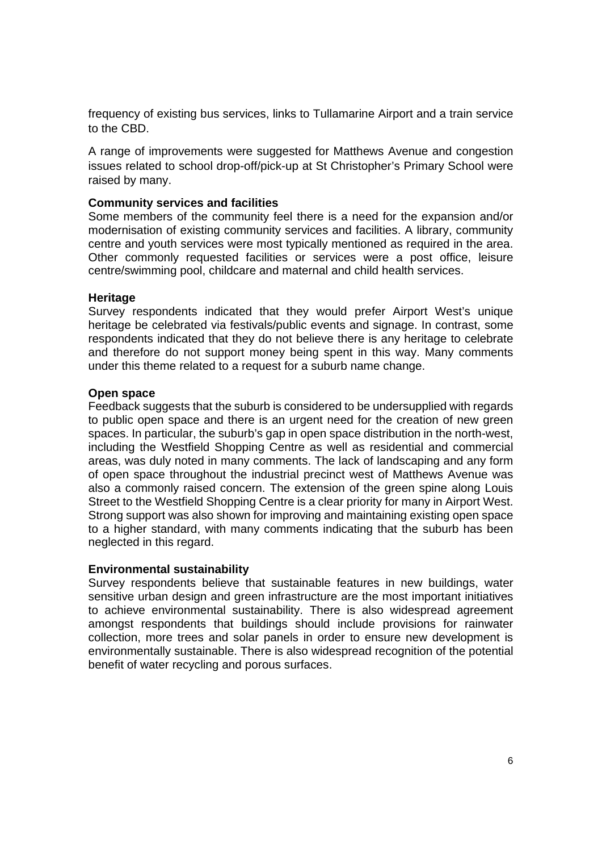frequency of existing bus services, links to Tullamarine Airport and a train service to the CBD.

A range of improvements were suggested for Matthews Avenue and congestion issues related to school drop-off/pick-up at St Christopher's Primary School were raised by many.

## **Community services and facilities**

Some members of the community feel there is a need for the expansion and/or modernisation of existing community services and facilities. A library, community centre and youth services were most typically mentioned as required in the area. Other commonly requested facilities or services were a post office, leisure centre/swimming pool, childcare and maternal and child health services.

## **Heritage**

Survey respondents indicated that they would prefer Airport West's unique heritage be celebrated via festivals/public events and signage. In contrast, some respondents indicated that they do not believe there is any heritage to celebrate and therefore do not support money being spent in this way. Many comments under this theme related to a request for a suburb name change.

## **Open space**

Feedback suggests that the suburb is considered to be undersupplied with regards to public open space and there is an urgent need for the creation of new green spaces. In particular, the suburb's gap in open space distribution in the north-west, including the Westfield Shopping Centre as well as residential and commercial areas, was duly noted in many comments. The lack of landscaping and any form of open space throughout the industrial precinct west of Matthews Avenue was also a commonly raised concern. The extension of the green spine along Louis Street to the Westfield Shopping Centre is a clear priority for many in Airport West. Strong support was also shown for improving and maintaining existing open space to a higher standard, with many comments indicating that the suburb has been neglected in this regard.

## **Environmental sustainability**

Survey respondents believe that sustainable features in new buildings, water sensitive urban design and green infrastructure are the most important initiatives to achieve environmental sustainability. There is also widespread agreement amongst respondents that buildings should include provisions for rainwater collection, more trees and solar panels in order to ensure new development is environmentally sustainable. There is also widespread recognition of the potential benefit of water recycling and porous surfaces.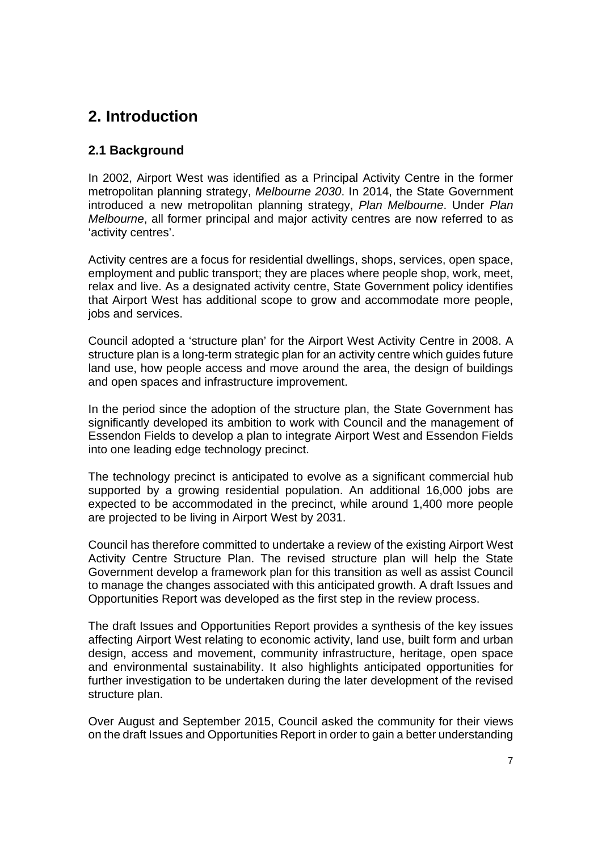# **2. Introduction**

## **2.1 Background**

In 2002, Airport West was identified as a Principal Activity Centre in the former metropolitan planning strategy, *Melbourne 2030*. In 2014, the State Government introduced a new metropolitan planning strategy, *Plan Melbourne*. Under *Plan Melbourne*, all former principal and major activity centres are now referred to as 'activity centres'.

Activity centres are a focus for residential dwellings, shops, services, open space, employment and public transport; they are places where people shop, work, meet, relax and live. As a designated activity centre, State Government policy identifies that Airport West has additional scope to grow and accommodate more people, jobs and services.

Council adopted a 'structure plan' for the Airport West Activity Centre in 2008. A structure plan is a long-term strategic plan for an activity centre which guides future land use, how people access and move around the area, the design of buildings and open spaces and infrastructure improvement.

In the period since the adoption of the structure plan, the State Government has significantly developed its ambition to work with Council and the management of Essendon Fields to develop a plan to integrate Airport West and Essendon Fields into one leading edge technology precinct.

The technology precinct is anticipated to evolve as a significant commercial hub supported by a growing residential population. An additional 16,000 jobs are expected to be accommodated in the precinct, while around 1,400 more people are projected to be living in Airport West by 2031.

Council has therefore committed to undertake a review of the existing Airport West Activity Centre Structure Plan. The revised structure plan will help the State Government develop a framework plan for this transition as well as assist Council to manage the changes associated with this anticipated growth. A draft Issues and Opportunities Report was developed as the first step in the review process.

The draft Issues and Opportunities Report provides a synthesis of the key issues affecting Airport West relating to economic activity, land use, built form and urban design, access and movement, community infrastructure, heritage, open space and environmental sustainability. It also highlights anticipated opportunities for further investigation to be undertaken during the later development of the revised structure plan.

Over August and September 2015, Council asked the community for their views on the draft Issues and Opportunities Report in order to gain a better understanding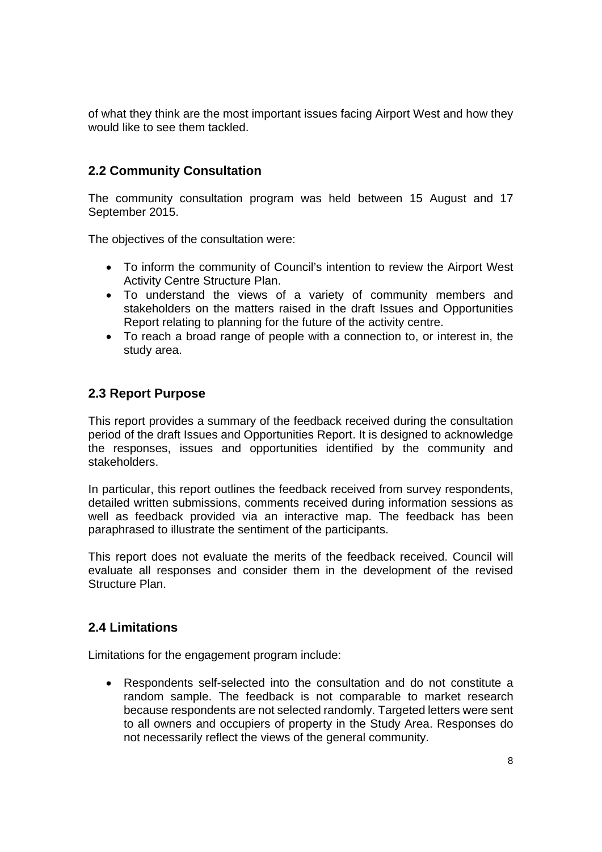of what they think are the most important issues facing Airport West and how they would like to see them tackled.

## **2.2 Community Consultation**

The community consultation program was held between 15 August and 17 September 2015.

The objectives of the consultation were:

- To inform the community of Council's intention to review the Airport West Activity Centre Structure Plan.
- To understand the views of a variety of community members and stakeholders on the matters raised in the draft Issues and Opportunities Report relating to planning for the future of the activity centre.
- To reach a broad range of people with a connection to, or interest in, the study area.

## **2.3 Report Purpose**

This report provides a summary of the feedback received during the consultation period of the draft Issues and Opportunities Report. It is designed to acknowledge the responses, issues and opportunities identified by the community and stakeholders.

In particular, this report outlines the feedback received from survey respondents, detailed written submissions, comments received during information sessions as well as feedback provided via an interactive map. The feedback has been paraphrased to illustrate the sentiment of the participants.

This report does not evaluate the merits of the feedback received. Council will evaluate all responses and consider them in the development of the revised Structure Plan.

## **2.4 Limitations**

Limitations for the engagement program include:

 Respondents self-selected into the consultation and do not constitute a random sample. The feedback is not comparable to market research because respondents are not selected randomly. Targeted letters were sent to all owners and occupiers of property in the Study Area. Responses do not necessarily reflect the views of the general community.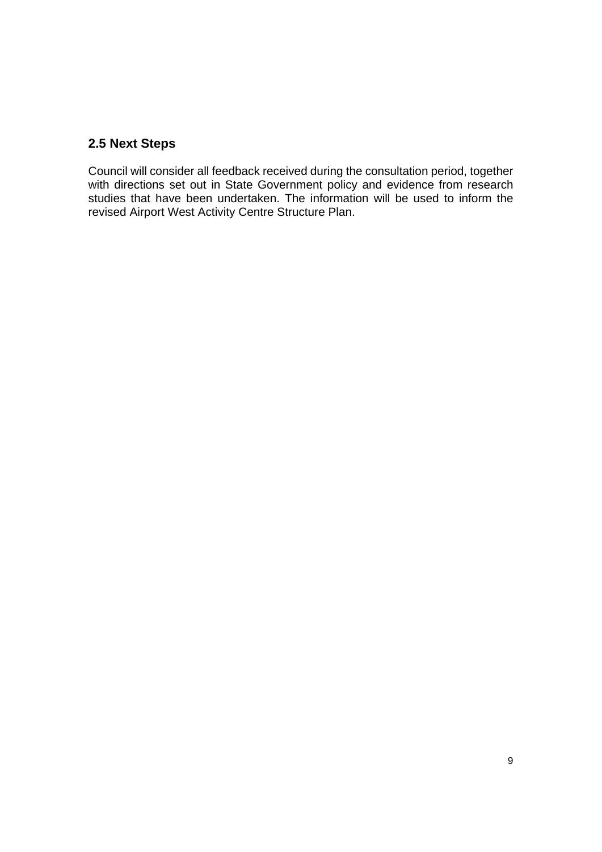## **2.5 Next Steps**

Council will consider all feedback received during the consultation period, together with directions set out in State Government policy and evidence from research studies that have been undertaken. The information will be used to inform the revised Airport West Activity Centre Structure Plan.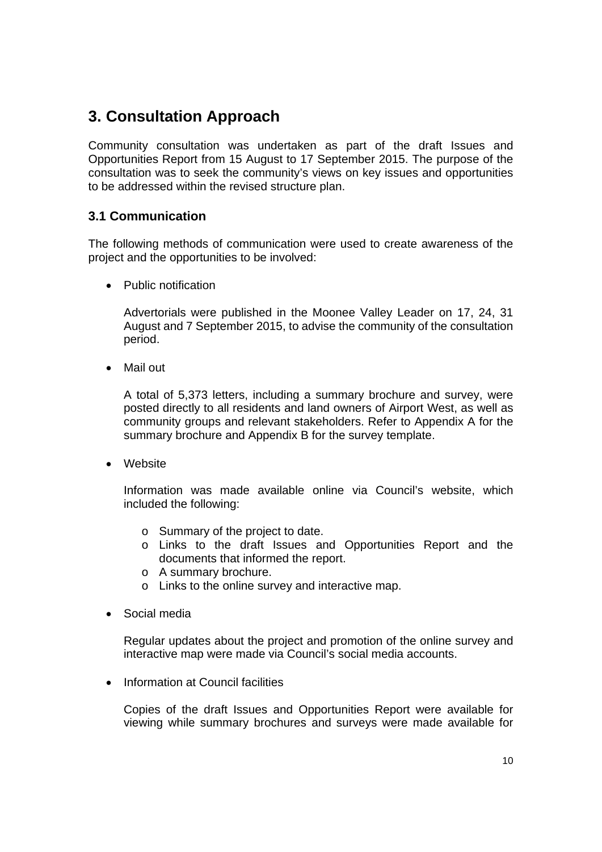# **3. Consultation Approach**

Community consultation was undertaken as part of the draft Issues and Opportunities Report from 15 August to 17 September 2015. The purpose of the consultation was to seek the community's views on key issues and opportunities to be addressed within the revised structure plan.

## **3.1 Communication**

The following methods of communication were used to create awareness of the project and the opportunities to be involved:

• Public notification

Advertorials were published in the Moonee Valley Leader on 17, 24, 31 August and 7 September 2015, to advise the community of the consultation period.

Mail out

A total of 5,373 letters, including a summary brochure and survey, were posted directly to all residents and land owners of Airport West, as well as community groups and relevant stakeholders. Refer to Appendix A for the summary brochure and Appendix B for the survey template.

Website

Information was made available online via Council's website, which included the following:

- o Summary of the project to date.
- o Links to the draft Issues and Opportunities Report and the documents that informed the report.
- o A summary brochure.
- o Links to the online survey and interactive map.
- Social media

Regular updates about the project and promotion of the online survey and interactive map were made via Council's social media accounts.

• Information at Council facilities

Copies of the draft Issues and Opportunities Report were available for viewing while summary brochures and surveys were made available for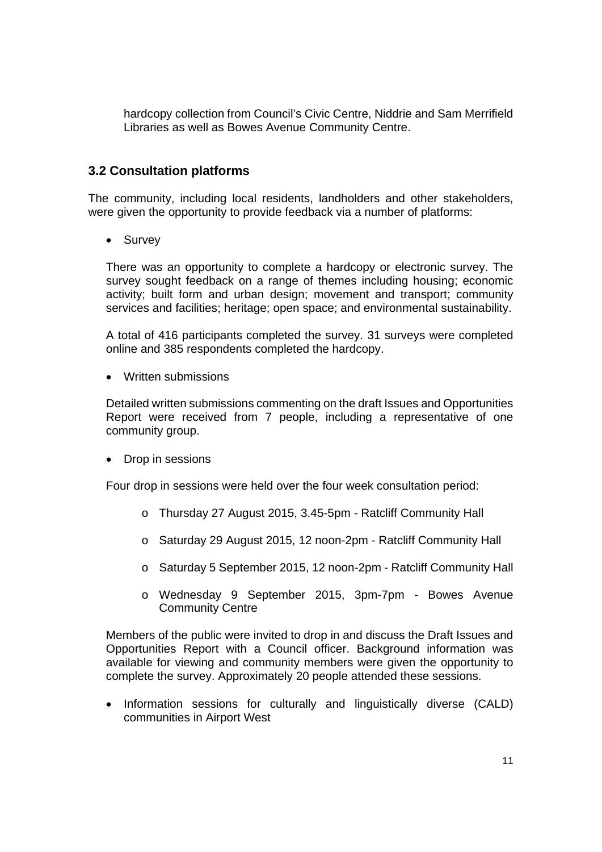hardcopy collection from Council's Civic Centre, Niddrie and Sam Merrifield Libraries as well as Bowes Avenue Community Centre.

## **3.2 Consultation platforms**

The community, including local residents, landholders and other stakeholders, were given the opportunity to provide feedback via a number of platforms:

• Survey

There was an opportunity to complete a hardcopy or electronic survey. The survey sought feedback on a range of themes including housing; economic activity; built form and urban design; movement and transport; community services and facilities; heritage; open space; and environmental sustainability.

A total of 416 participants completed the survey. 31 surveys were completed online and 385 respondents completed the hardcopy.

• Written submissions

Detailed written submissions commenting on the draft Issues and Opportunities Report were received from 7 people, including a representative of one community group.

• Drop in sessions

Four drop in sessions were held over the four week consultation period:

- o Thursday 27 August 2015, 3.45-5pm Ratcliff Community Hall
- o Saturday 29 August 2015, 12 noon-2pm Ratcliff Community Hall
- o Saturday 5 September 2015, 12 noon-2pm Ratcliff Community Hall
- o Wednesday 9 September 2015, 3pm-7pm Bowes Avenue Community Centre

Members of the public were invited to drop in and discuss the Draft Issues and Opportunities Report with a Council officer. Background information was available for viewing and community members were given the opportunity to complete the survey. Approximately 20 people attended these sessions.

• Information sessions for culturally and linguistically diverse (CALD) communities in Airport West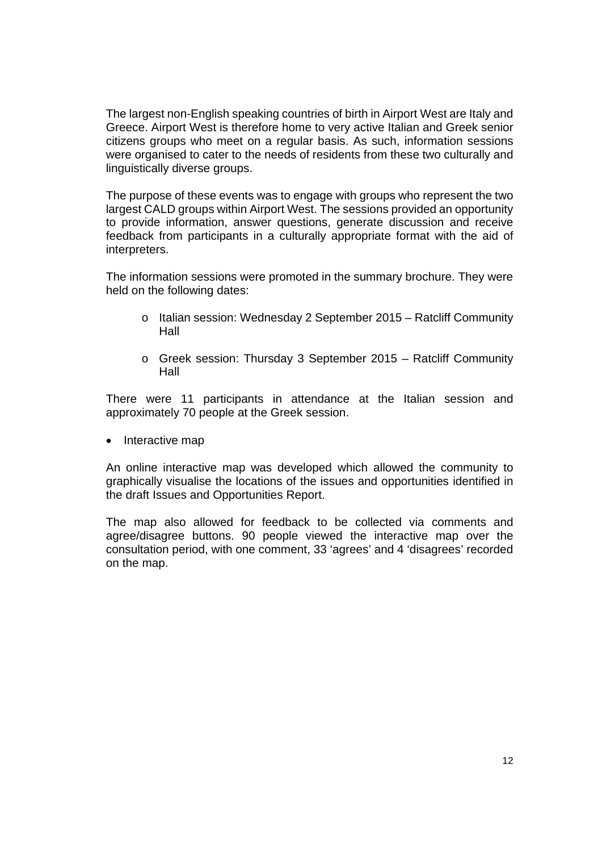The largest non-English speaking countries of birth in Airport West are Italy and Greece. Airport West is therefore home to very active Italian and Greek senior citizens groups who meet on a regular basis. As such, information sessions were organised to cater to the needs of residents from these two culturally and linguistically diverse groups.

The purpose of these events was to engage with groups who represent the two largest CALD groups within Airport West. The sessions provided an opportunity to provide information, answer questions, generate discussion and receive feedback from participants in a culturally appropriate format with the aid of interpreters.

The information sessions were promoted in the summary brochure. They were held on the following dates:

- o Italian session: Wednesday 2 September 2015 Ratcliff Community Hall
- o Greek session: Thursday 3 September 2015 Ratcliff Community Hall

There were 11 participants in attendance at the Italian session and approximately 70 people at the Greek session.

• Interactive map

An online interactive map was developed which allowed the community to graphically visualise the locations of the issues and opportunities identified in the draft Issues and Opportunities Report.

The map also allowed for feedback to be collected via comments and agree/disagree buttons. 90 people viewed the interactive map over the consultation period, with one comment, 33 'agrees' and 4 'disagrees' recorded on the map.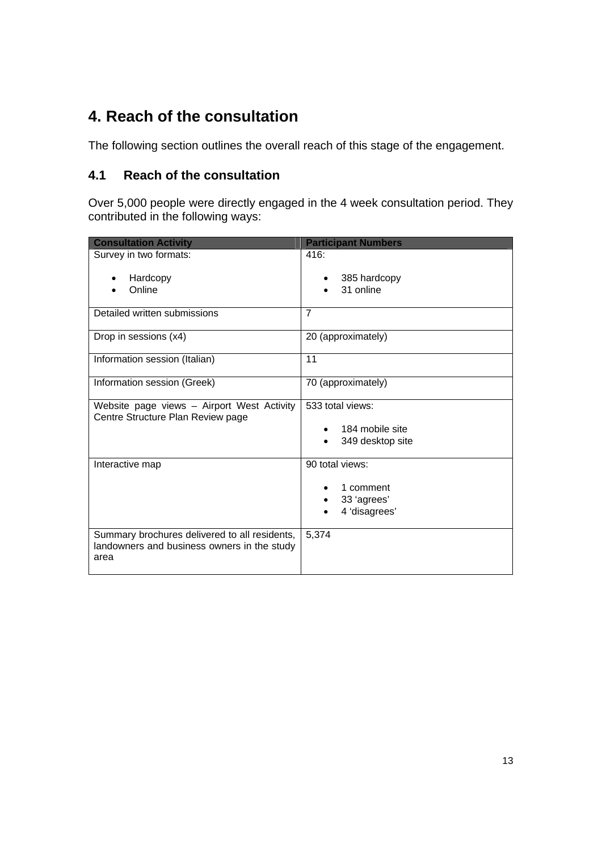# **4. Reach of the consultation**

The following section outlines the overall reach of this stage of the engagement.

## **4.1 Reach of the consultation**

Over 5,000 people were directly engaged in the 4 week consultation period. They contributed in the following ways:

| <b>Consultation Activity</b>                                                                         | <b>Participant Numbers</b>                                   |
|------------------------------------------------------------------------------------------------------|--------------------------------------------------------------|
| Survey in two formats:                                                                               | 416:                                                         |
| Hardcopy<br>Online                                                                                   | 385 hardcopy<br>31 online                                    |
| Detailed written submissions                                                                         | $\overline{7}$                                               |
| Drop in sessions (x4)                                                                                | 20 (approximately)                                           |
| Information session (Italian)                                                                        | 11                                                           |
| Information session (Greek)                                                                          | 70 (approximately)                                           |
| Website page views - Airport West Activity<br>Centre Structure Plan Review page                      | 533 total views:<br>184 mobile site<br>349 desktop site      |
| Interactive map                                                                                      | 90 total views:<br>1 comment<br>33 'agrees'<br>4 'disagrees' |
| Summary brochures delivered to all residents,<br>landowners and business owners in the study<br>area | 5,374                                                        |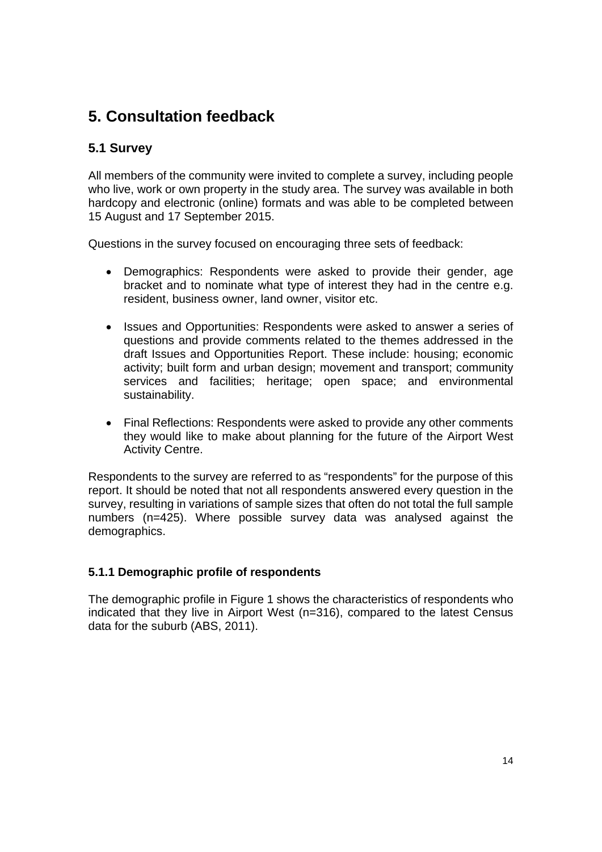# **5. Consultation feedback**

## **5.1 Survey**

All members of the community were invited to complete a survey, including people who live, work or own property in the study area. The survey was available in both hardcopy and electronic (online) formats and was able to be completed between 15 August and 17 September 2015.

Questions in the survey focused on encouraging three sets of feedback:

- Demographics: Respondents were asked to provide their gender, age bracket and to nominate what type of interest they had in the centre e.g. resident, business owner, land owner, visitor etc.
- Issues and Opportunities: Respondents were asked to answer a series of questions and provide comments related to the themes addressed in the draft Issues and Opportunities Report. These include: housing; economic activity; built form and urban design; movement and transport; community services and facilities; heritage; open space; and environmental sustainability.
- Final Reflections: Respondents were asked to provide any other comments they would like to make about planning for the future of the Airport West Activity Centre.

Respondents to the survey are referred to as "respondents" for the purpose of this report. It should be noted that not all respondents answered every question in the survey, resulting in variations of sample sizes that often do not total the full sample numbers (n=425). Where possible survey data was analysed against the demographics.

## **5.1.1 Demographic profile of respondents**

The demographic profile in Figure 1 shows the characteristics of respondents who indicated that they live in Airport West (n=316), compared to the latest Census data for the suburb (ABS, 2011).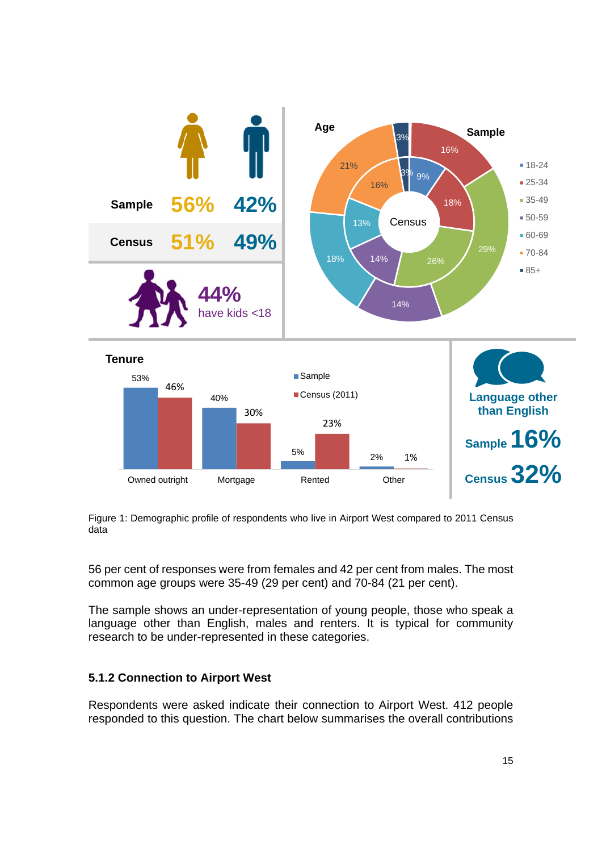

Figure 1: Demographic profile of respondents who live in Airport West compared to 2011 Census data

56 per cent of responses were from females and 42 per cent from males. The most common age groups were 35-49 (29 per cent) and 70-84 (21 per cent).

The sample shows an under-representation of young people, those who speak a language other than English, males and renters. It is typical for community research to be under-represented in these categories.

## **5.1.2 Connection to Airport West**

Respondents were asked indicate their connection to Airport West. 412 people responded to this question. The chart below summarises the overall contributions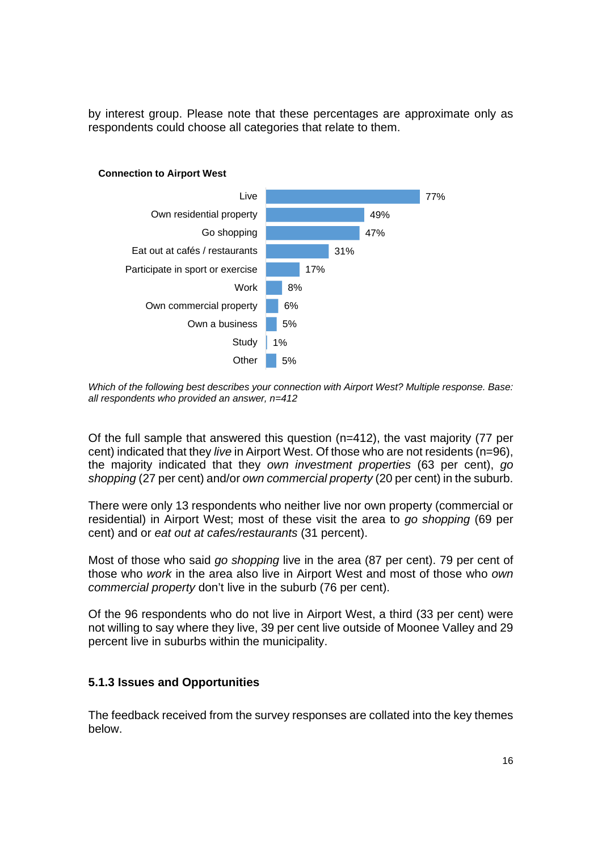by interest group. Please note that these percentages are approximate only as respondents could choose all categories that relate to them.



#### **Connection to Airport West**

*Which of the following best describes your connection with Airport West? Multiple response. Base: all respondents who provided an answer, n=412*

Of the full sample that answered this question (n=412), the vast majority (77 per cent) indicated that they *live* in Airport West. Of those who are not residents (n=96), the majority indicated that they *own investment properties* (63 per cent), *go shopping* (27 per cent) and/or *own commercial property* (20 per cent) in the suburb.

There were only 13 respondents who neither live nor own property (commercial or residential) in Airport West; most of these visit the area to *go shopping* (69 per cent) and or *eat out at cafes/restaurants* (31 percent).

Most of those who said *go shopping* live in the area (87 per cent). 79 per cent of those who *work* in the area also live in Airport West and most of those who *own commercial property* don't live in the suburb (76 per cent).

Of the 96 respondents who do not live in Airport West, a third (33 per cent) were not willing to say where they live, 39 per cent live outside of Moonee Valley and 29 percent live in suburbs within the municipality.

## **5.1.3 Issues and Opportunities**

The feedback received from the survey responses are collated into the key themes below.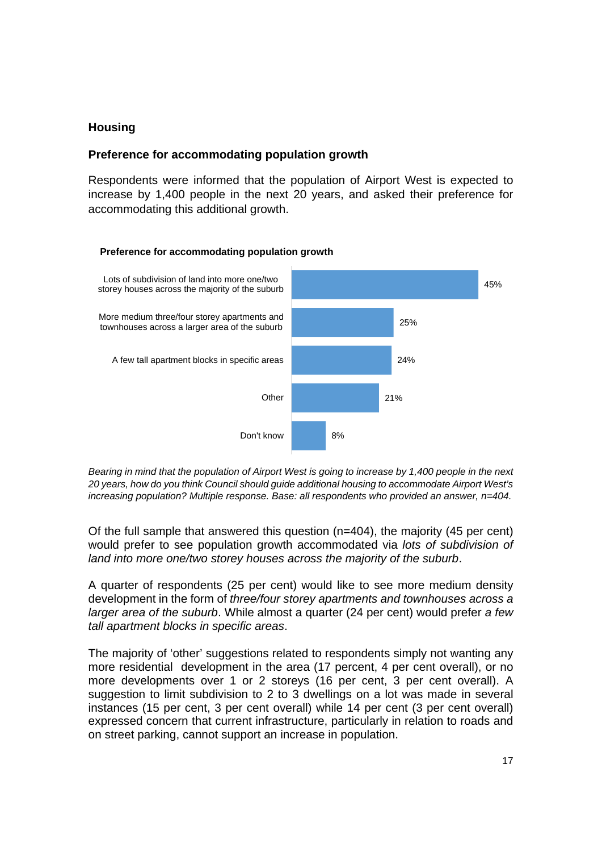## **Housing**

## **Preference for accommodating population growth**

Respondents were informed that the population of Airport West is expected to increase by 1,400 people in the next 20 years, and asked their preference for accommodating this additional growth.



*Bearing in mind that the population of Airport West is going to increase by 1,400 people in the next 20 years, how do you think Council should guide additional housing to accommodate Airport West's increasing population? Multiple response. Base: all respondents who provided an answer, n=404.* 

Of the full sample that answered this question  $(n=404)$ , the majority (45 per cent) would prefer to see population growth accommodated via *lots of subdivision of land into more one/two storey houses across the majority of the suburb*.

A quarter of respondents (25 per cent) would like to see more medium density development in the form of *three/four storey apartments and townhouses across a larger area of the suburb*. While almost a quarter (24 per cent) would prefer *a few tall apartment blocks in specific areas*.

The majority of 'other' suggestions related to respondents simply not wanting any more residential development in the area (17 percent, 4 per cent overall), or no more developments over 1 or 2 storeys (16 per cent, 3 per cent overall). A suggestion to limit subdivision to 2 to 3 dwellings on a lot was made in several instances (15 per cent, 3 per cent overall) while 14 per cent (3 per cent overall) expressed concern that current infrastructure, particularly in relation to roads and on street parking, cannot support an increase in population.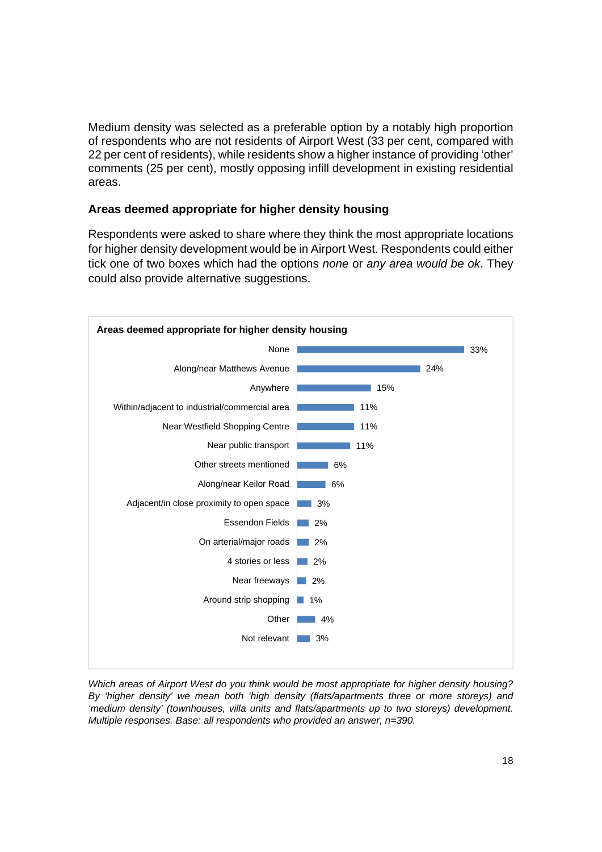Medium density was selected as a preferable option by a notably high proportion of respondents who are not residents of Airport West (33 per cent, compared with 22 per cent of residents), while residents show a higher instance of providing 'other' comments (25 per cent), mostly opposing infill development in existing residential areas.

## **Areas deemed appropriate for higher density housing**

Respondents were asked to share where they think the most appropriate locations for higher density development would be in Airport West. Respondents could either tick one of two boxes which had the options *none* or *any area would be ok*. They could also provide alternative suggestions.



*Which areas of Airport West do you think would be most appropriate for higher density housing? By 'higher density' we mean both 'high density (flats/apartments three or more storeys) and 'medium density' (townhouses, villa units and flats/apartments up to two storeys) development. Multiple responses. Base: all respondents who provided an answer, n=390.*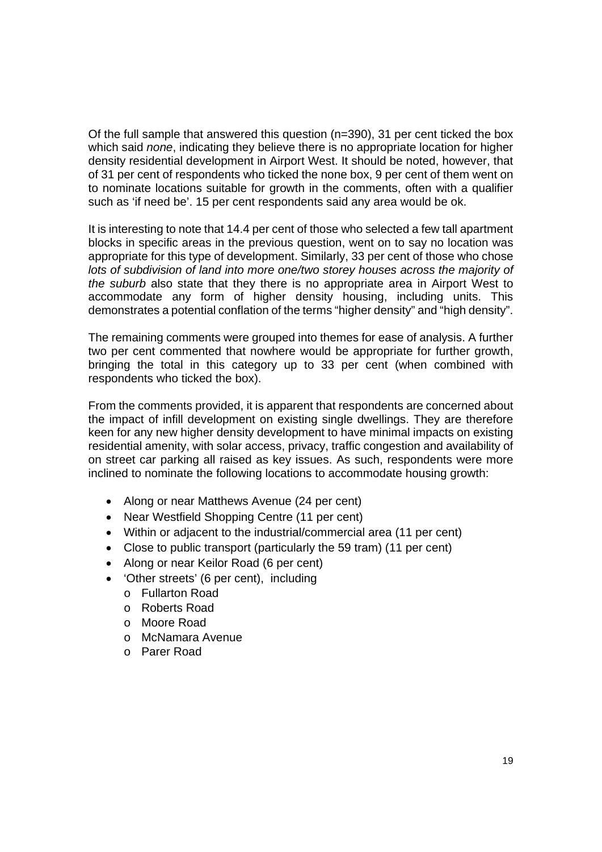Of the full sample that answered this question (n=390), 31 per cent ticked the box which said *none*, indicating they believe there is no appropriate location for higher density residential development in Airport West. It should be noted, however, that of 31 per cent of respondents who ticked the none box, 9 per cent of them went on to nominate locations suitable for growth in the comments, often with a qualifier such as 'if need be'. 15 per cent respondents said any area would be ok.

It is interesting to note that 14.4 per cent of those who selected a few tall apartment blocks in specific areas in the previous question, went on to say no location was appropriate for this type of development. Similarly, 33 per cent of those who chose *lots of subdivision of land into more one/two storey houses across the majority of the suburb* also state that they there is no appropriate area in Airport West to accommodate any form of higher density housing, including units. This demonstrates a potential conflation of the terms "higher density" and "high density".

The remaining comments were grouped into themes for ease of analysis. A further two per cent commented that nowhere would be appropriate for further growth, bringing the total in this category up to 33 per cent (when combined with respondents who ticked the box).

From the comments provided, it is apparent that respondents are concerned about the impact of infill development on existing single dwellings. They are therefore keen for any new higher density development to have minimal impacts on existing residential amenity, with solar access, privacy, traffic congestion and availability of on street car parking all raised as key issues. As such, respondents were more inclined to nominate the following locations to accommodate housing growth:

- Along or near Matthews Avenue (24 per cent)
- Near Westfield Shopping Centre (11 per cent)
- Within or adjacent to the industrial/commercial area (11 per cent)
- Close to public transport (particularly the 59 tram) (11 per cent)
- Along or near Keilor Road (6 per cent)
- 'Other streets' (6 per cent), including
	- o Fullarton Road
	- o Roberts Road
	- o Moore Road
	- o McNamara Avenue
	- o Parer Road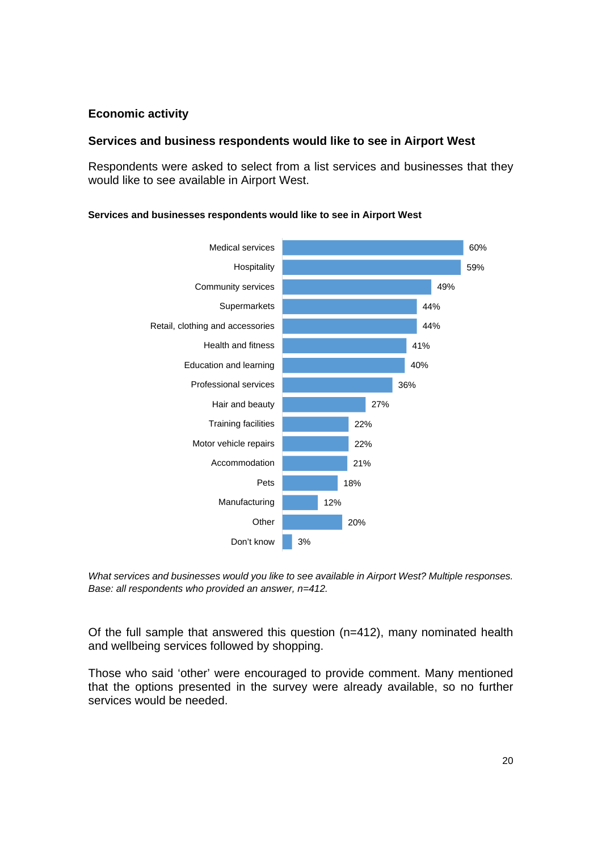## **Economic activity**

## **Services and business respondents would like to see in Airport West**

Respondents were asked to select from a list services and businesses that they would like to see available in Airport West.



#### **Services and businesses respondents would like to see in Airport West**

*What services and businesses would you like to see available in Airport West? Multiple responses. Base: all respondents who provided an answer, n=412.* 

Of the full sample that answered this question (n=412), many nominated health and wellbeing services followed by shopping.

Those who said 'other' were encouraged to provide comment. Many mentioned that the options presented in the survey were already available, so no further services would be needed.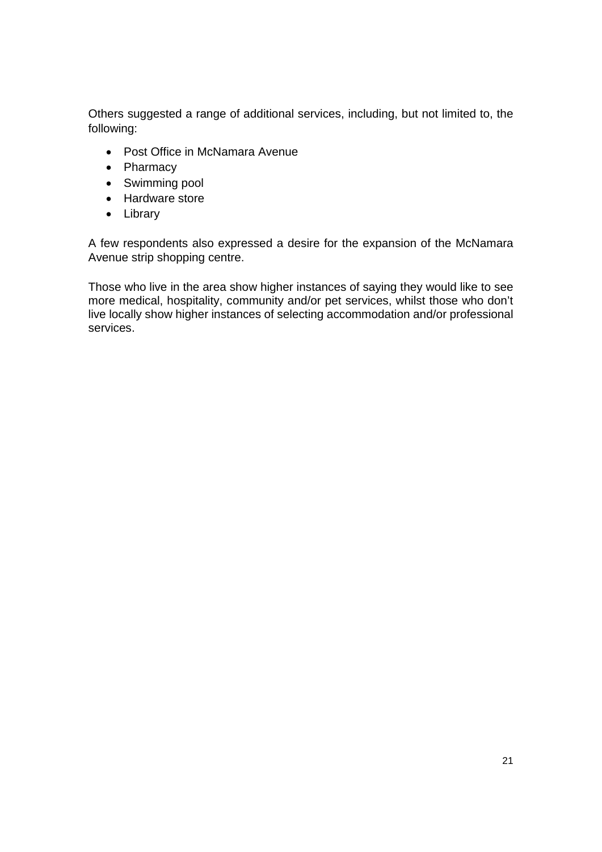Others suggested a range of additional services, including, but not limited to, the following:

- Post Office in McNamara Avenue
- Pharmacy
- Swimming pool
- Hardware store
- Library

A few respondents also expressed a desire for the expansion of the McNamara Avenue strip shopping centre.

Those who live in the area show higher instances of saying they would like to see more medical, hospitality, community and/or pet services, whilst those who don't live locally show higher instances of selecting accommodation and/or professional services.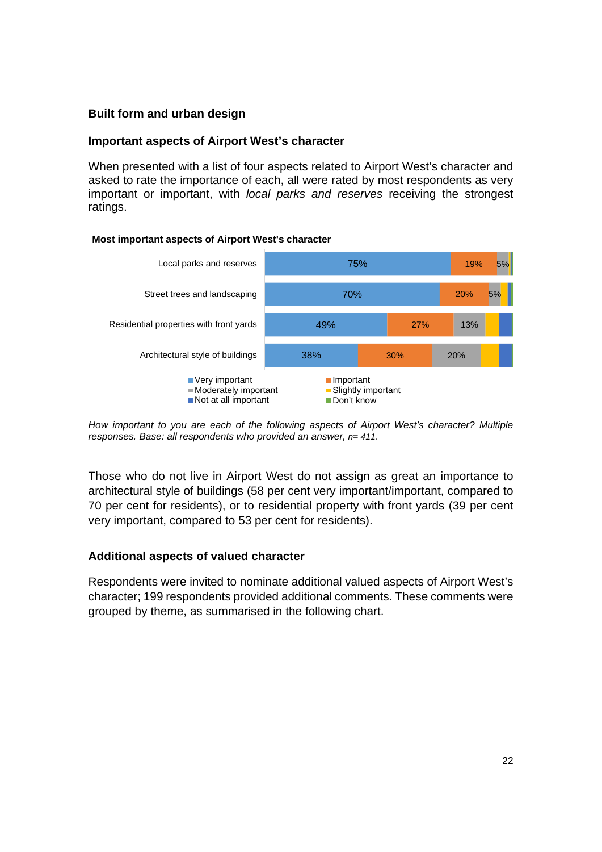## **Built form and urban design**

## **Important aspects of Airport West's character**

When presented with a list of four aspects related to Airport West's character and asked to rate the importance of each, all were rated by most respondents as very important or important, with *local parks and reserves* receiving the strongest ratings.

### **Most important aspects of Airport West's character**



*How important to you are each of the following aspects of Airport West's character? Multiple responses. Base: all respondents who provided an answer, n= 411.* 

Those who do not live in Airport West do not assign as great an importance to architectural style of buildings (58 per cent very important/important, compared to 70 per cent for residents), or to residential property with front yards (39 per cent very important, compared to 53 per cent for residents).

## **Additional aspects of valued character**

Respondents were invited to nominate additional valued aspects of Airport West's character; 199 respondents provided additional comments. These comments were grouped by theme, as summarised in the following chart.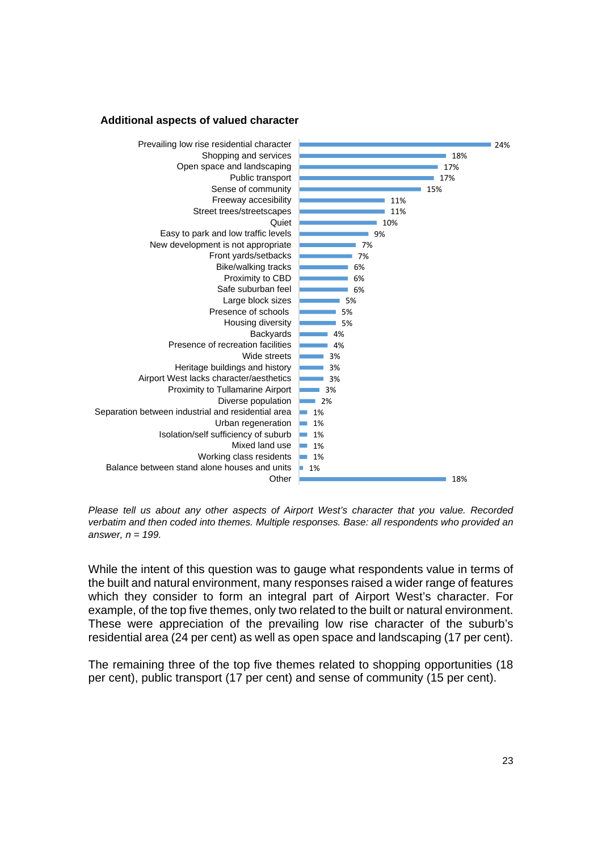#### **Additional aspects of valued character**



*Please tell us about any other aspects of Airport West's character that you value. Recorded verbatim and then coded into themes. Multiple responses. Base: all respondents who provided an answer, n = 199.* 

While the intent of this question was to gauge what respondents value in terms of the built and natural environment, many responses raised a wider range of features which they consider to form an integral part of Airport West's character. For example, of the top five themes, only two related to the built or natural environment. These were appreciation of the prevailing low rise character of the suburb's residential area (24 per cent) as well as open space and landscaping (17 per cent).

The remaining three of the top five themes related to shopping opportunities (18 per cent), public transport (17 per cent) and sense of community (15 per cent).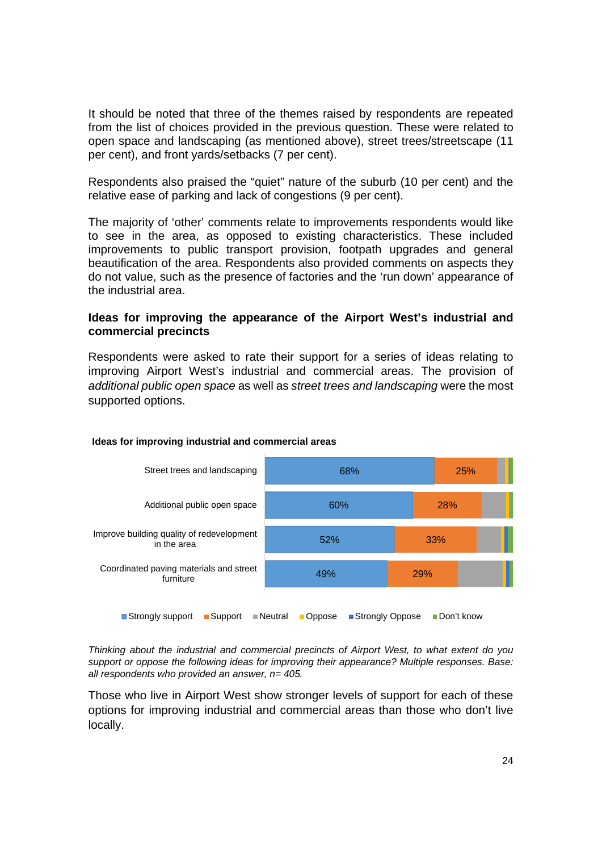It should be noted that three of the themes raised by respondents are repeated from the list of choices provided in the previous question. These were related to open space and landscaping (as mentioned above), street trees/streetscape (11 per cent), and front yards/setbacks (7 per cent).

Respondents also praised the "quiet" nature of the suburb (10 per cent) and the relative ease of parking and lack of congestions (9 per cent).

The majority of 'other' comments relate to improvements respondents would like to see in the area, as opposed to existing characteristics. These included improvements to public transport provision, footpath upgrades and general beautification of the area. Respondents also provided comments on aspects they do not value, such as the presence of factories and the 'run down' appearance of the industrial area.

### **Ideas for improving the appearance of the Airport West's industrial and commercial precincts**

Respondents were asked to rate their support for a series of ideas relating to improving Airport West's industrial and commercial areas. The provision of *additional public open space* as well as *street trees and landscaping* were the most supported options.



#### **Ideas for improving industrial and commercial areas**

*Thinking about the industrial and commercial precincts of Airport West, to what extent do you support or oppose the following ideas for improving their appearance? Multiple responses. Base: all respondents who provided an answer, n= 405.* 

Those who live in Airport West show stronger levels of support for each of these options for improving industrial and commercial areas than those who don't live locally.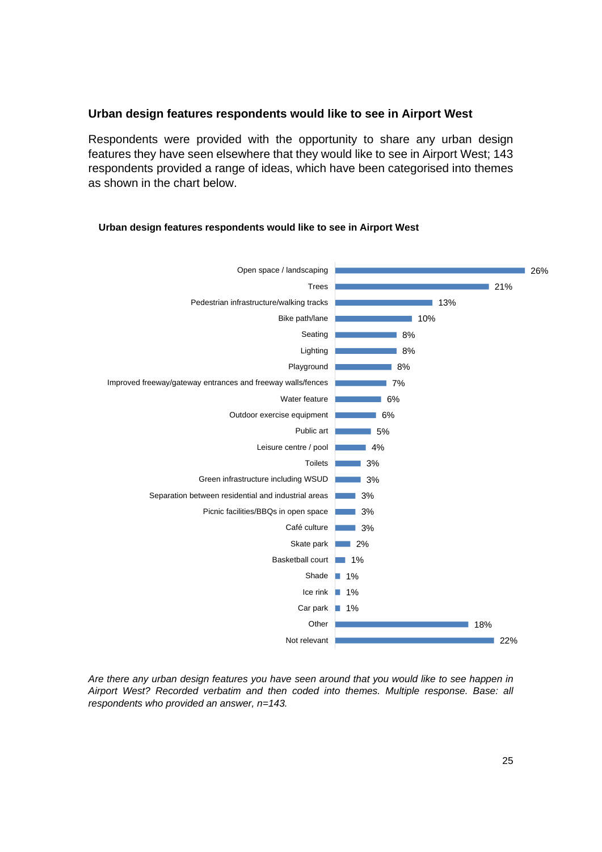## **Urban design features respondents would like to see in Airport West**

Respondents were provided with the opportunity to share any urban design features they have seen elsewhere that they would like to see in Airport West; 143 respondents provided a range of ideas, which have been categorised into themes as shown in the chart below.



#### **Urban design features respondents would like to see in Airport West**

*Are there any urban design features you have seen around that you would like to see happen in Airport West? Recorded verbatim and then coded into themes. Multiple response. Base: all respondents who provided an answer, n=143.*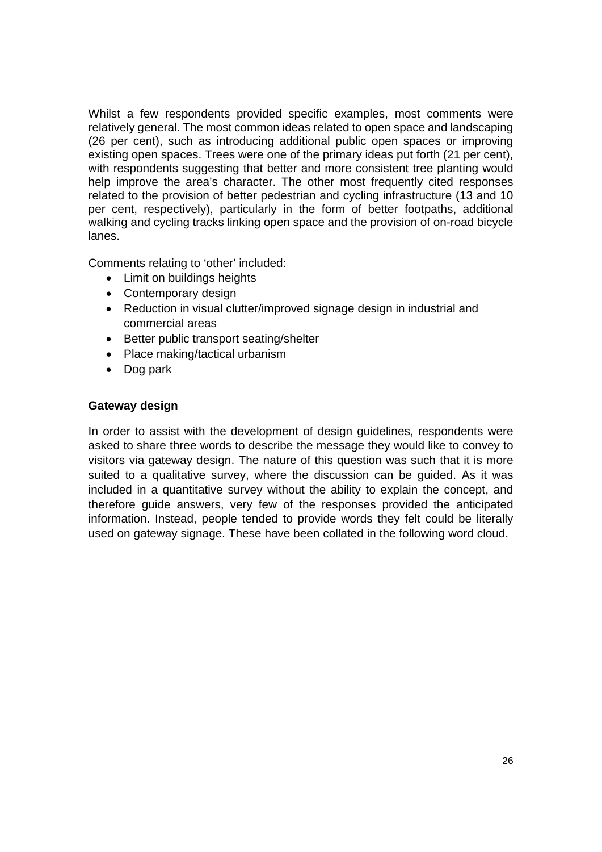Whilst a few respondents provided specific examples, most comments were relatively general. The most common ideas related to open space and landscaping (26 per cent), such as introducing additional public open spaces or improving existing open spaces. Trees were one of the primary ideas put forth (21 per cent), with respondents suggesting that better and more consistent tree planting would help improve the area's character. The other most frequently cited responses related to the provision of better pedestrian and cycling infrastructure (13 and 10 per cent, respectively), particularly in the form of better footpaths, additional walking and cycling tracks linking open space and the provision of on-road bicycle lanes.

Comments relating to 'other' included:

- Limit on buildings heights
- Contemporary design
- Reduction in visual clutter/improved signage design in industrial and commercial areas
- Better public transport seating/shelter
- Place making/tactical urbanism
- Dog park

## **Gateway design**

In order to assist with the development of design guidelines, respondents were asked to share three words to describe the message they would like to convey to visitors via gateway design. The nature of this question was such that it is more suited to a qualitative survey, where the discussion can be guided. As it was included in a quantitative survey without the ability to explain the concept, and therefore guide answers, very few of the responses provided the anticipated information. Instead, people tended to provide words they felt could be literally used on gateway signage. These have been collated in the following word cloud.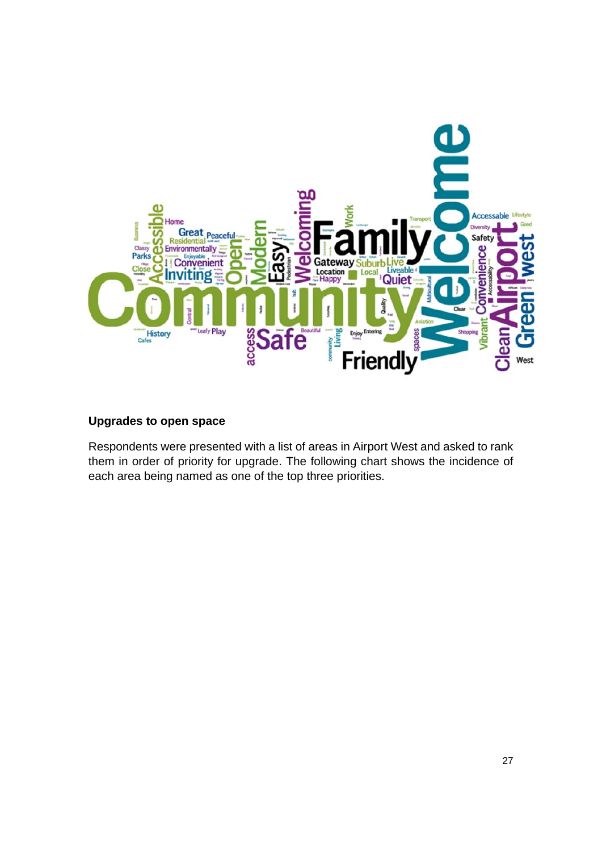

## **Upgrades to open space**

Respondents were presented with a list of areas in Airport West and asked to rank them in order of priority for upgrade. The following chart shows the incidence of each area being named as one of the top three priorities.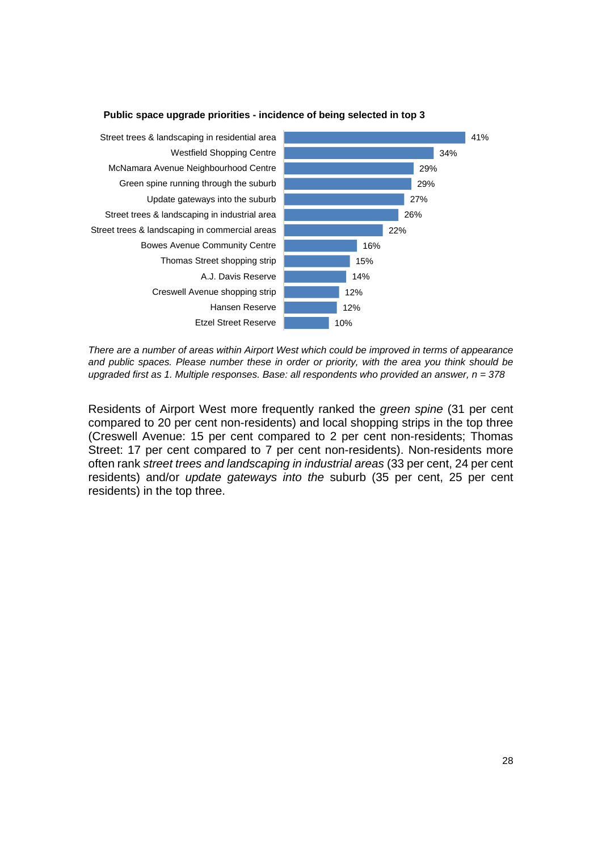

#### **Public space upgrade priorities - incidence of being selected in top 3**

*There are a number of areas within Airport West which could be improved in terms of appearance and public spaces. Please number these in order or priority, with the area you think should be upgraded first as 1. Multiple responses. Base: all respondents who provided an answer, n = 378*

Residents of Airport West more frequently ranked the *green spine* (31 per cent compared to 20 per cent non-residents) and local shopping strips in the top three (Creswell Avenue: 15 per cent compared to 2 per cent non-residents; Thomas Street: 17 per cent compared to 7 per cent non-residents). Non-residents more often rank *street trees and landscaping in industrial areas* (33 per cent, 24 per cent residents) and/or *update gateways into the* suburb (35 per cent, 25 per cent residents) in the top three.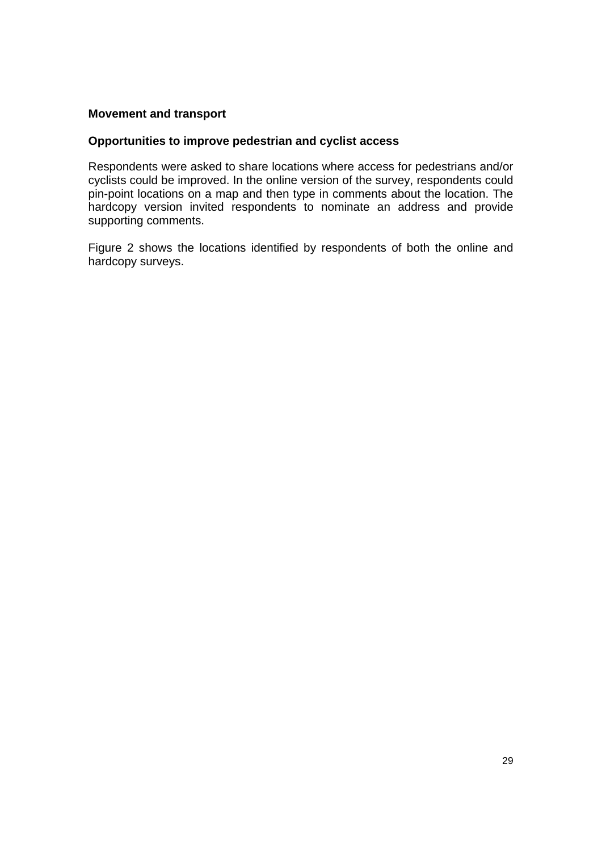## **Movement and transport**

## **Opportunities to improve pedestrian and cyclist access**

Respondents were asked to share locations where access for pedestrians and/or cyclists could be improved. In the online version of the survey, respondents could pin-point locations on a map and then type in comments about the location. The hardcopy version invited respondents to nominate an address and provide supporting comments.

Figure 2 shows the locations identified by respondents of both the online and hardcopy surveys.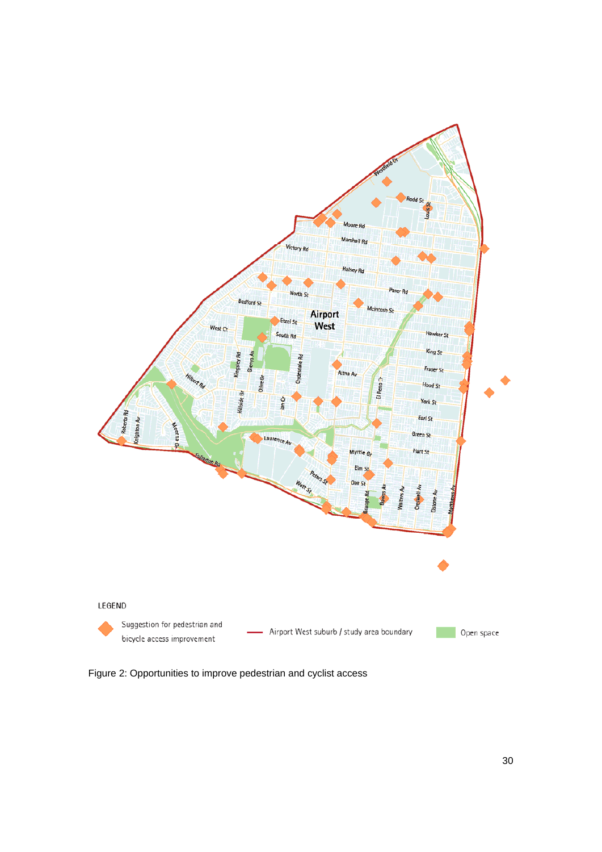

Figure 2: Opportunities to improve pedestrian and cyclist access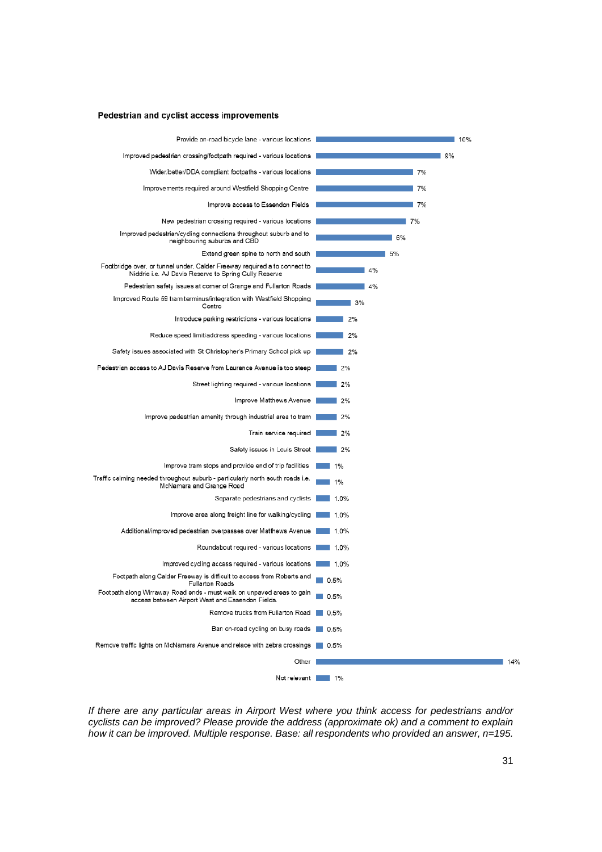#### Pedestrian and cyclist access improvements



*If there are any particular areas in Airport West where you think access for pedestrians and/or cyclists can be improved? Please provide the address (approximate ok) and a comment to explain how it can be improved. Multiple response. Base: all respondents who provided an answer, n=195.*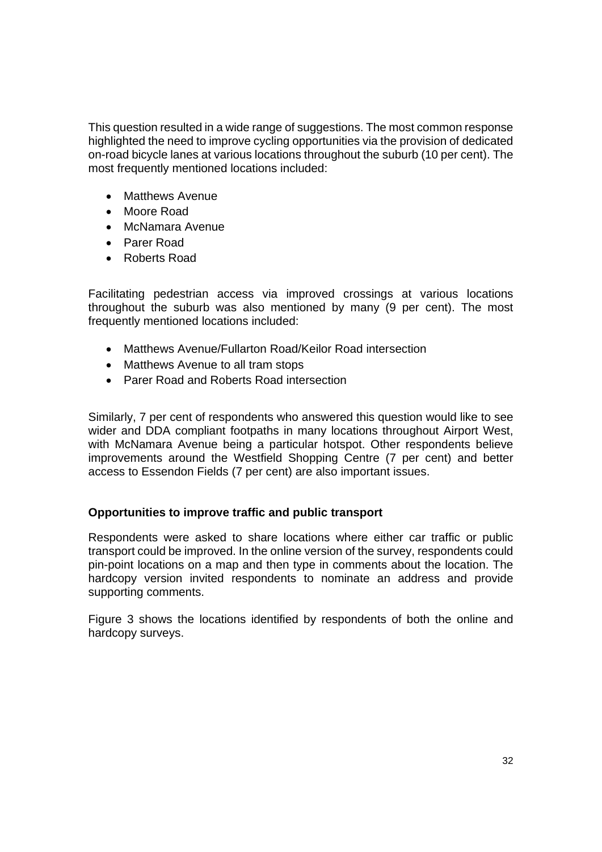This question resulted in a wide range of suggestions. The most common response highlighted the need to improve cycling opportunities via the provision of dedicated on-road bicycle lanes at various locations throughout the suburb (10 per cent). The most frequently mentioned locations included:

- Matthews Avenue
- Moore Road
- McNamara Avenue
- Parer Road
- Roberts Road

Facilitating pedestrian access via improved crossings at various locations throughout the suburb was also mentioned by many (9 per cent). The most frequently mentioned locations included:

- Matthews Avenue/Fullarton Road/Keilor Road intersection
- Matthews Avenue to all tram stops
- Parer Road and Roberts Road intersection

Similarly, 7 per cent of respondents who answered this question would like to see wider and DDA compliant footpaths in many locations throughout Airport West, with McNamara Avenue being a particular hotspot. Other respondents believe improvements around the Westfield Shopping Centre (7 per cent) and better access to Essendon Fields (7 per cent) are also important issues.

## **Opportunities to improve traffic and public transport**

Respondents were asked to share locations where either car traffic or public transport could be improved. In the online version of the survey, respondents could pin-point locations on a map and then type in comments about the location. The hardcopy version invited respondents to nominate an address and provide supporting comments.

Figure 3 shows the locations identified by respondents of both the online and hardcopy surveys.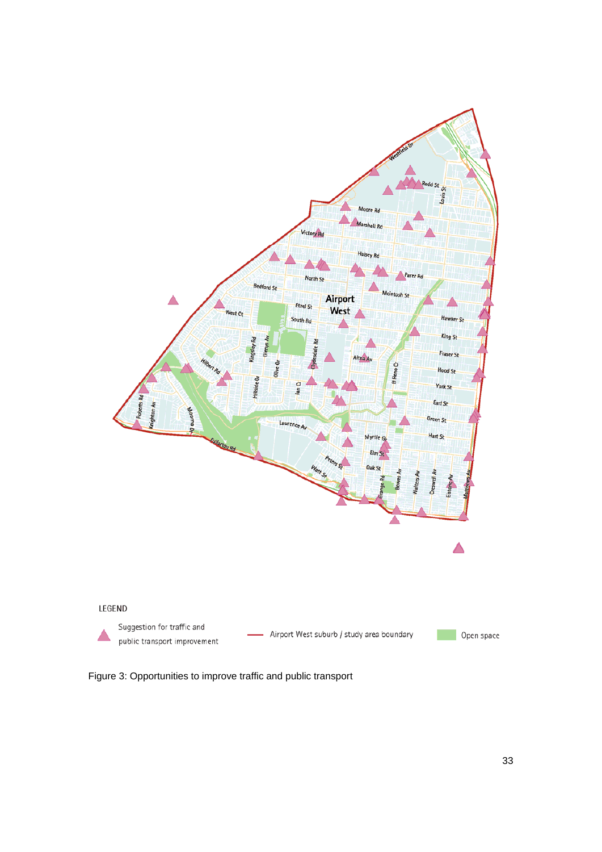

Figure 3: Opportunities to improve traffic and public transport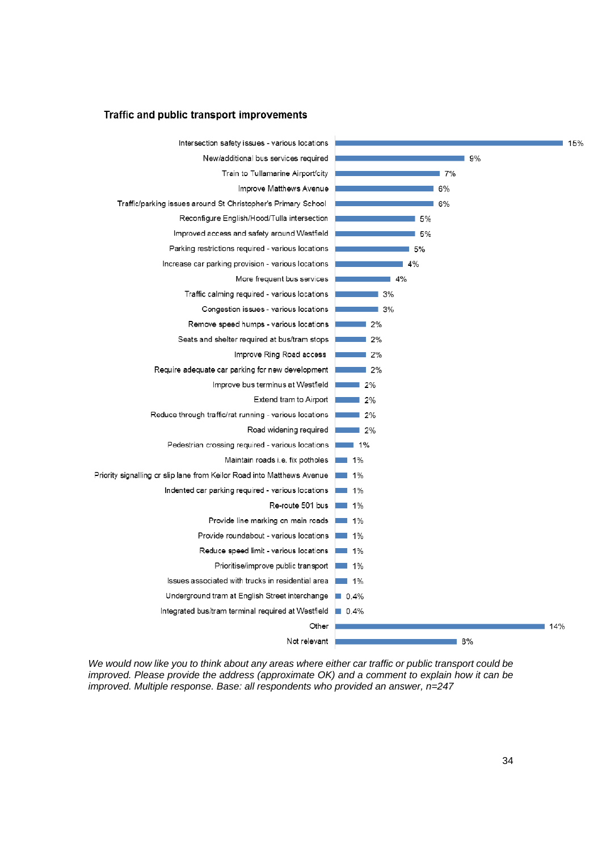#### Traffic and public transport improvements



*We would now like you to think about any areas where either car traffic or public transport could be improved. Please provide the address (approximate OK) and a comment to explain how it can be improved. Multiple response. Base: all respondents who provided an answer, n=247*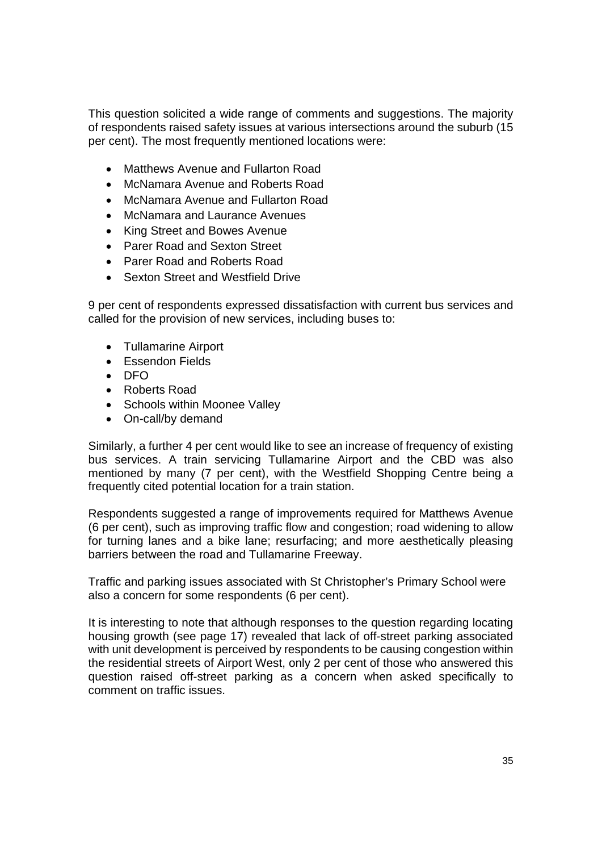This question solicited a wide range of comments and suggestions. The majority of respondents raised safety issues at various intersections around the suburb (15 per cent). The most frequently mentioned locations were:

- Matthews Avenue and Fullarton Road
- McNamara Avenue and Roberts Road
- McNamara Avenue and Fullarton Road
- McNamara and Laurance Avenues
- King Street and Bowes Avenue
- Parer Road and Sexton Street
- Parer Road and Roberts Road
- Sexton Street and Westfield Drive

9 per cent of respondents expressed dissatisfaction with current bus services and called for the provision of new services, including buses to:

- Tullamarine Airport
- Essendon Fields
- DFO
- Roberts Road
- Schools within Moonee Valley
- On-call/by demand

Similarly, a further 4 per cent would like to see an increase of frequency of existing bus services. A train servicing Tullamarine Airport and the CBD was also mentioned by many (7 per cent), with the Westfield Shopping Centre being a frequently cited potential location for a train station.

Respondents suggested a range of improvements required for Matthews Avenue (6 per cent), such as improving traffic flow and congestion; road widening to allow for turning lanes and a bike lane; resurfacing; and more aesthetically pleasing barriers between the road and Tullamarine Freeway.

Traffic and parking issues associated with St Christopher's Primary School were also a concern for some respondents (6 per cent).

It is interesting to note that although responses to the question regarding locating housing growth (see page 17) revealed that lack of off-street parking associated with unit development is perceived by respondents to be causing congestion within the residential streets of Airport West, only 2 per cent of those who answered this question raised off-street parking as a concern when asked specifically to comment on traffic issues.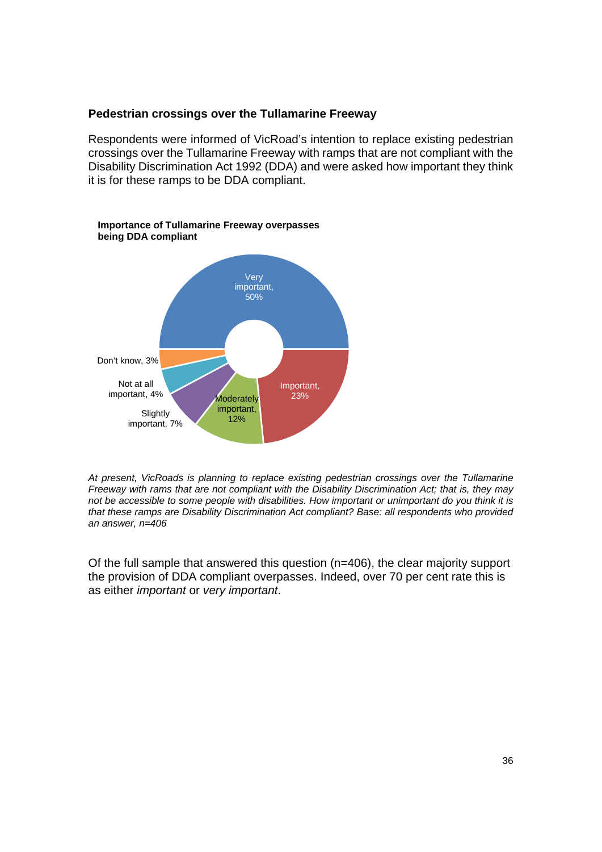## **Pedestrian crossings over the Tullamarine Freeway**

Respondents were informed of VicRoad's intention to replace existing pedestrian crossings over the Tullamarine Freeway with ramps that are not compliant with the Disability Discrimination Act 1992 (DDA) and were asked how important they think it is for these ramps to be DDA compliant.



*At present, VicRoads is planning to replace existing pedestrian crossings over the Tullamarine Freeway with rams that are not compliant with the Disability Discrimination Act; that is, they may not be accessible to some people with disabilities. How important or unimportant do you think it is that these ramps are Disability Discrimination Act compliant? Base: all respondents who provided an answer, n=406* 

Of the full sample that answered this question (n=406), the clear majority support the provision of DDA compliant overpasses. Indeed, over 70 per cent rate this is as either *important* or *very important*.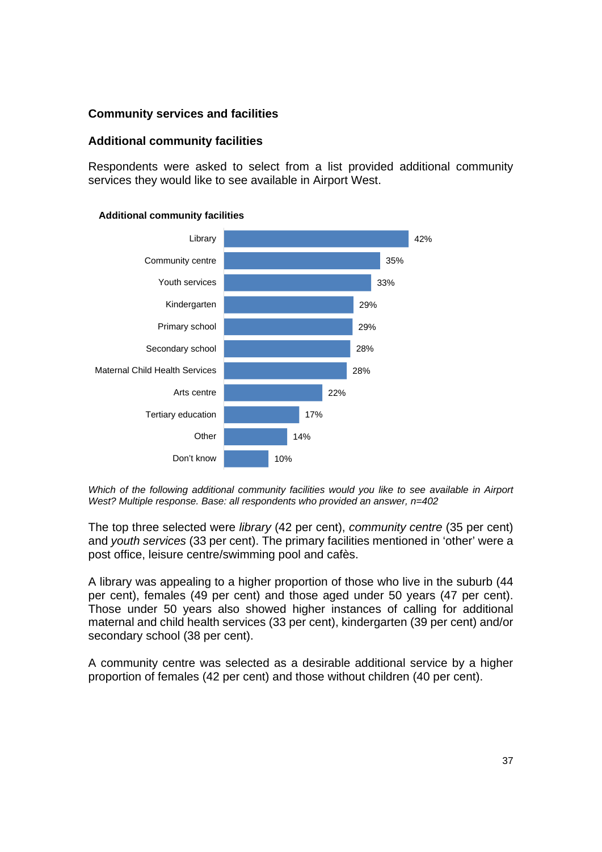## **Community services and facilities**

## **Additional community facilities**

Respondents were asked to select from a list provided additional community services they would like to see available in Airport West.



#### **Additional community facilities**

*Which of the following additional community facilities would you like to see available in Airport West? Multiple response. Base: all respondents who provided an answer, n=402* 

The top three selected were *library* (42 per cent), *community centre* (35 per cent) and *youth services* (33 per cent). The primary facilities mentioned in 'other' were a post office, leisure centre/swimming pool and cafès.

A library was appealing to a higher proportion of those who live in the suburb (44 per cent), females (49 per cent) and those aged under 50 years (47 per cent). Those under 50 years also showed higher instances of calling for additional maternal and child health services (33 per cent), kindergarten (39 per cent) and/or secondary school (38 per cent).

A community centre was selected as a desirable additional service by a higher proportion of females (42 per cent) and those without children (40 per cent).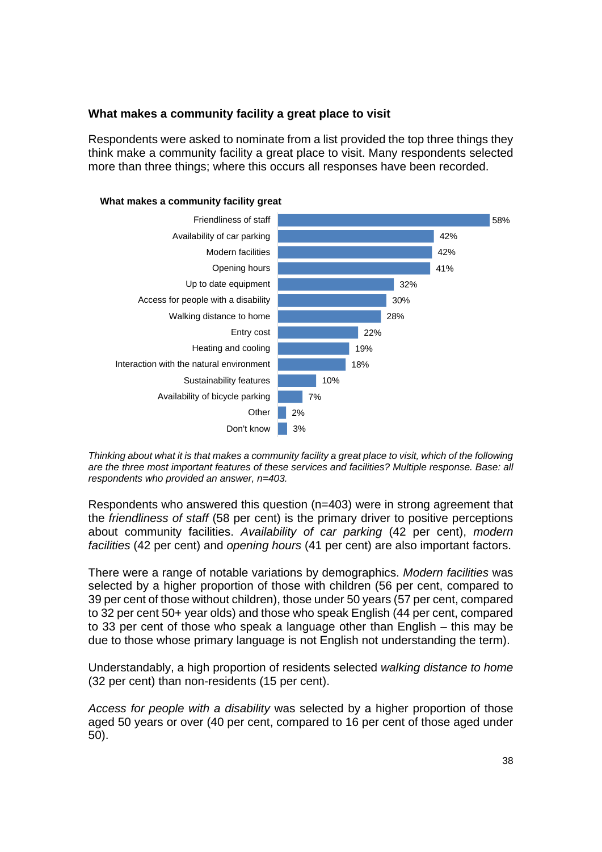## **What makes a community facility a great place to visit**

Respondents were asked to nominate from a list provided the top three things they think make a community facility a great place to visit. Many respondents selected more than three things; where this occurs all responses have been recorded.



#### **What makes a community facility great**

*Thinking about what it is that makes a community facility a great place to visit, which of the following are the three most important features of these services and facilities? Multiple response. Base: all respondents who provided an answer, n=403.* 

Respondents who answered this question (n=403) were in strong agreement that the *friendliness of staff* (58 per cent) is the primary driver to positive perceptions about community facilities. *Availability of car parking* (42 per cent), *modern facilities* (42 per cent) and *opening hours* (41 per cent) are also important factors.

There were a range of notable variations by demographics. *Modern facilities* was selected by a higher proportion of those with children (56 per cent, compared to 39 per cent of those without children), those under 50 years (57 per cent, compared to 32 per cent 50+ year olds) and those who speak English (44 per cent, compared to 33 per cent of those who speak a language other than English – this may be due to those whose primary language is not English not understanding the term).

Understandably, a high proportion of residents selected *walking distance to home*  (32 per cent) than non-residents (15 per cent).

*Access for people with a disability* was selected by a higher proportion of those aged 50 years or over (40 per cent, compared to 16 per cent of those aged under 50).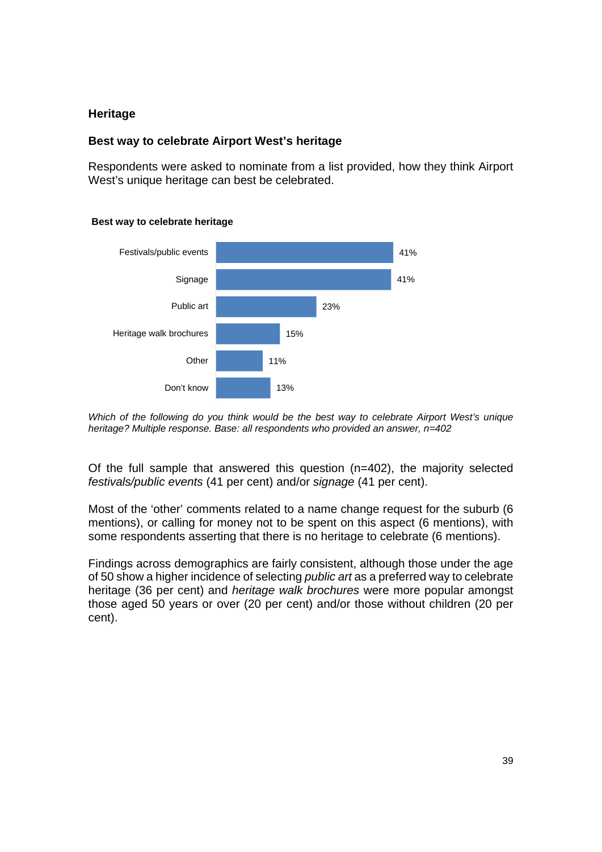## **Heritage**

## **Best way to celebrate Airport West's heritage**

Respondents were asked to nominate from a list provided, how they think Airport West's unique heritage can best be celebrated.



#### **Best way to celebrate heritage**

*Which of the following do you think would be the best way to celebrate Airport West's unique heritage? Multiple response. Base: all respondents who provided an answer, n=402* 

Of the full sample that answered this question (n=402), the majority selected *festivals/public events* (41 per cent) and/or *signage* (41 per cent).

Most of the 'other' comments related to a name change request for the suburb (6 mentions), or calling for money not to be spent on this aspect (6 mentions), with some respondents asserting that there is no heritage to celebrate (6 mentions).

Findings across demographics are fairly consistent, although those under the age of 50 show a higher incidence of selecting *public art* as a preferred way to celebrate heritage (36 per cent) and *heritage walk brochures* were more popular amongst those aged 50 years or over (20 per cent) and/or those without children (20 per cent).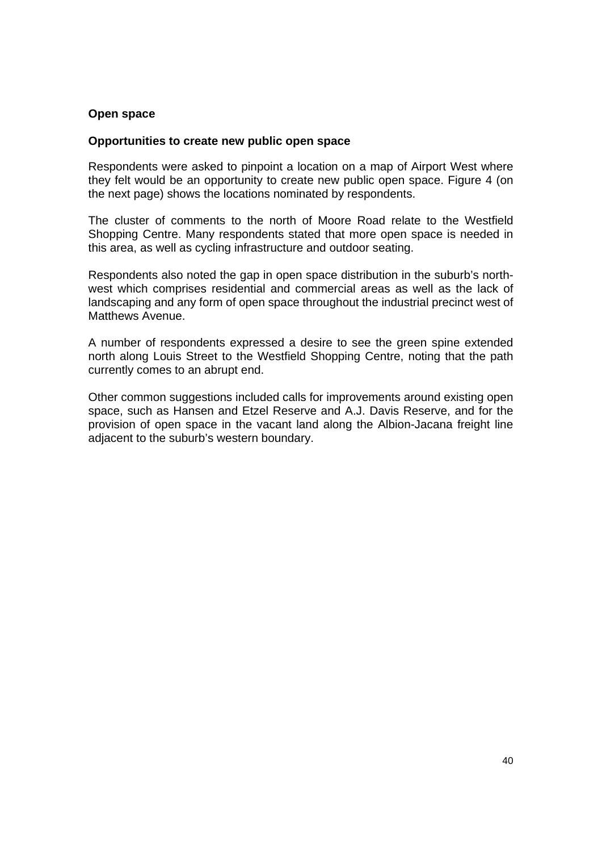## **Open space**

## **Opportunities to create new public open space**

Respondents were asked to pinpoint a location on a map of Airport West where they felt would be an opportunity to create new public open space. Figure 4 (on the next page) shows the locations nominated by respondents.

The cluster of comments to the north of Moore Road relate to the Westfield Shopping Centre. Many respondents stated that more open space is needed in this area, as well as cycling infrastructure and outdoor seating.

Respondents also noted the gap in open space distribution in the suburb's northwest which comprises residential and commercial areas as well as the lack of landscaping and any form of open space throughout the industrial precinct west of Matthews Avenue.

A number of respondents expressed a desire to see the green spine extended north along Louis Street to the Westfield Shopping Centre, noting that the path currently comes to an abrupt end.

Other common suggestions included calls for improvements around existing open space, such as Hansen and Etzel Reserve and A.J. Davis Reserve, and for the provision of open space in the vacant land along the Albion-Jacana freight line adjacent to the suburb's western boundary.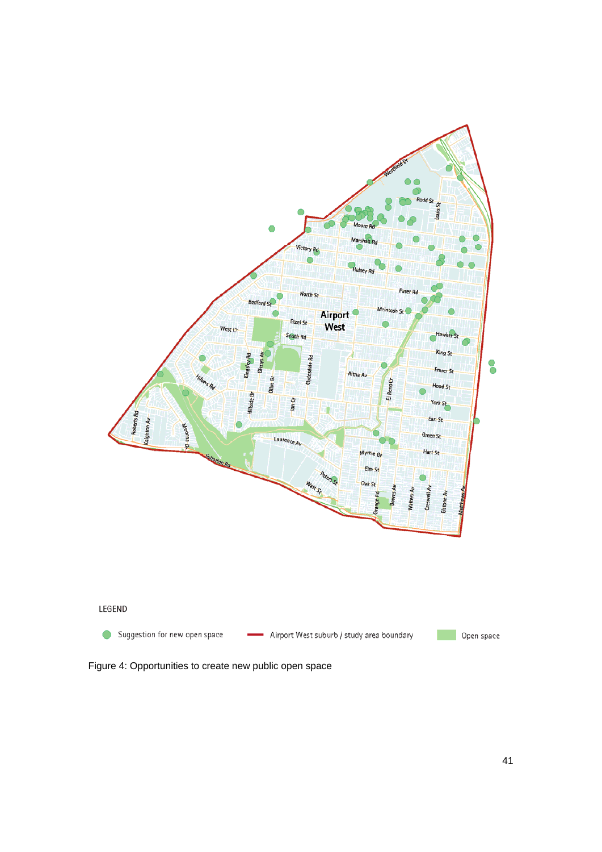

Figure 4: Opportunities to create new public open space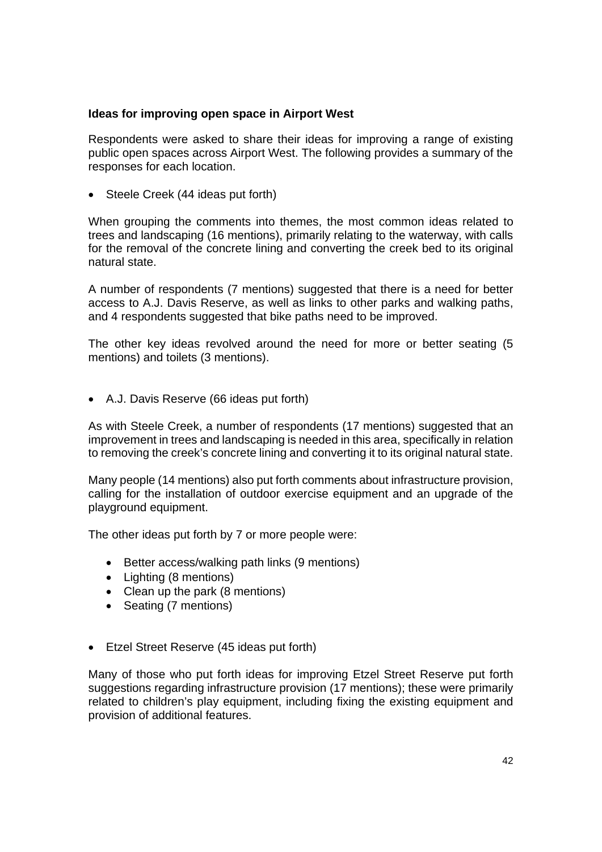## **Ideas for improving open space in Airport West**

Respondents were asked to share their ideas for improving a range of existing public open spaces across Airport West. The following provides a summary of the responses for each location.

• Steele Creek (44 ideas put forth)

When grouping the comments into themes, the most common ideas related to trees and landscaping (16 mentions), primarily relating to the waterway, with calls for the removal of the concrete lining and converting the creek bed to its original natural state.

A number of respondents (7 mentions) suggested that there is a need for better access to A.J. Davis Reserve, as well as links to other parks and walking paths, and 4 respondents suggested that bike paths need to be improved.

The other key ideas revolved around the need for more or better seating (5 mentions) and toilets (3 mentions).

A.J. Davis Reserve (66 ideas put forth)

As with Steele Creek, a number of respondents (17 mentions) suggested that an improvement in trees and landscaping is needed in this area, specifically in relation to removing the creek's concrete lining and converting it to its original natural state.

Many people (14 mentions) also put forth comments about infrastructure provision, calling for the installation of outdoor exercise equipment and an upgrade of the playground equipment.

The other ideas put forth by 7 or more people were:

- Better access/walking path links (9 mentions)
- Lighting (8 mentions)
- Clean up the park (8 mentions)
- Seating (7 mentions)
- Etzel Street Reserve (45 ideas put forth)

Many of those who put forth ideas for improving Etzel Street Reserve put forth suggestions regarding infrastructure provision (17 mentions); these were primarily related to children's play equipment, including fixing the existing equipment and provision of additional features.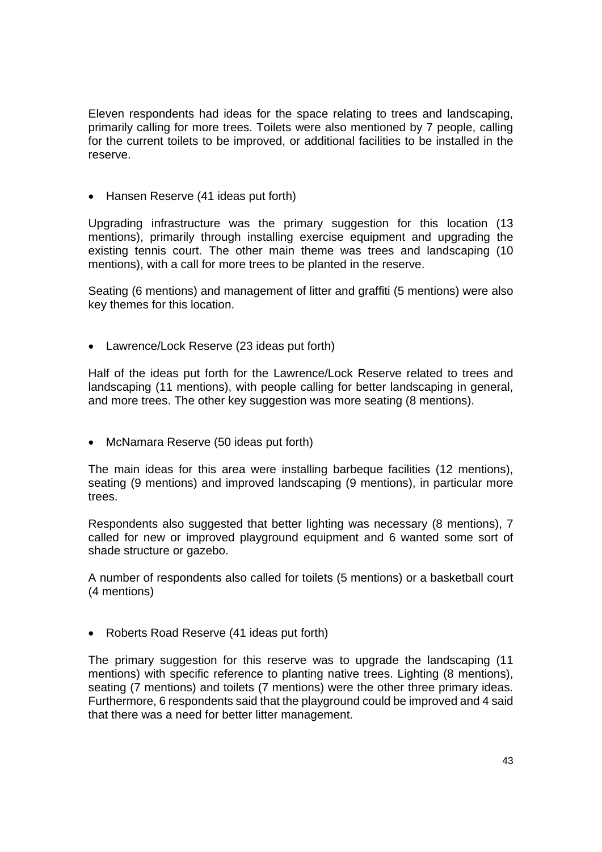Eleven respondents had ideas for the space relating to trees and landscaping, primarily calling for more trees. Toilets were also mentioned by 7 people, calling for the current toilets to be improved, or additional facilities to be installed in the reserve.

• Hansen Reserve (41 ideas put forth)

Upgrading infrastructure was the primary suggestion for this location (13 mentions), primarily through installing exercise equipment and upgrading the existing tennis court. The other main theme was trees and landscaping (10 mentions), with a call for more trees to be planted in the reserve.

Seating (6 mentions) and management of litter and graffiti (5 mentions) were also key themes for this location.

Lawrence/Lock Reserve (23 ideas put forth)

Half of the ideas put forth for the Lawrence/Lock Reserve related to trees and landscaping (11 mentions), with people calling for better landscaping in general, and more trees. The other key suggestion was more seating (8 mentions).

• McNamara Reserve (50 ideas put forth)

The main ideas for this area were installing barbeque facilities (12 mentions), seating (9 mentions) and improved landscaping (9 mentions), in particular more trees.

Respondents also suggested that better lighting was necessary (8 mentions), 7 called for new or improved playground equipment and 6 wanted some sort of shade structure or gazebo.

A number of respondents also called for toilets (5 mentions) or a basketball court (4 mentions)

• Roberts Road Reserve (41 ideas put forth)

The primary suggestion for this reserve was to upgrade the landscaping (11 mentions) with specific reference to planting native trees. Lighting (8 mentions), seating (7 mentions) and toilets (7 mentions) were the other three primary ideas. Furthermore, 6 respondents said that the playground could be improved and 4 said that there was a need for better litter management.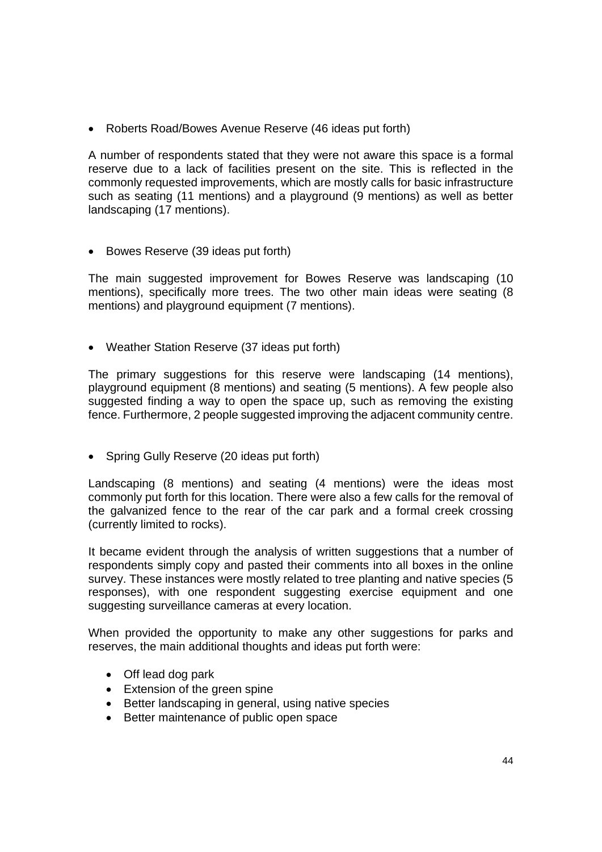Roberts Road/Bowes Avenue Reserve (46 ideas put forth)

A number of respondents stated that they were not aware this space is a formal reserve due to a lack of facilities present on the site. This is reflected in the commonly requested improvements, which are mostly calls for basic infrastructure such as seating (11 mentions) and a playground (9 mentions) as well as better landscaping (17 mentions).

• Bowes Reserve (39 ideas put forth)

The main suggested improvement for Bowes Reserve was landscaping (10 mentions), specifically more trees. The two other main ideas were seating (8 mentions) and playground equipment (7 mentions).

Weather Station Reserve (37 ideas put forth)

The primary suggestions for this reserve were landscaping (14 mentions), playground equipment (8 mentions) and seating (5 mentions). A few people also suggested finding a way to open the space up, such as removing the existing fence. Furthermore, 2 people suggested improving the adjacent community centre.

• Spring Gully Reserve (20 ideas put forth)

Landscaping (8 mentions) and seating (4 mentions) were the ideas most commonly put forth for this location. There were also a few calls for the removal of the galvanized fence to the rear of the car park and a formal creek crossing (currently limited to rocks).

It became evident through the analysis of written suggestions that a number of respondents simply copy and pasted their comments into all boxes in the online survey. These instances were mostly related to tree planting and native species (5 responses), with one respondent suggesting exercise equipment and one suggesting surveillance cameras at every location.

When provided the opportunity to make any other suggestions for parks and reserves, the main additional thoughts and ideas put forth were:

- Off lead dog park
- Extension of the green spine
- Better landscaping in general, using native species
- Better maintenance of public open space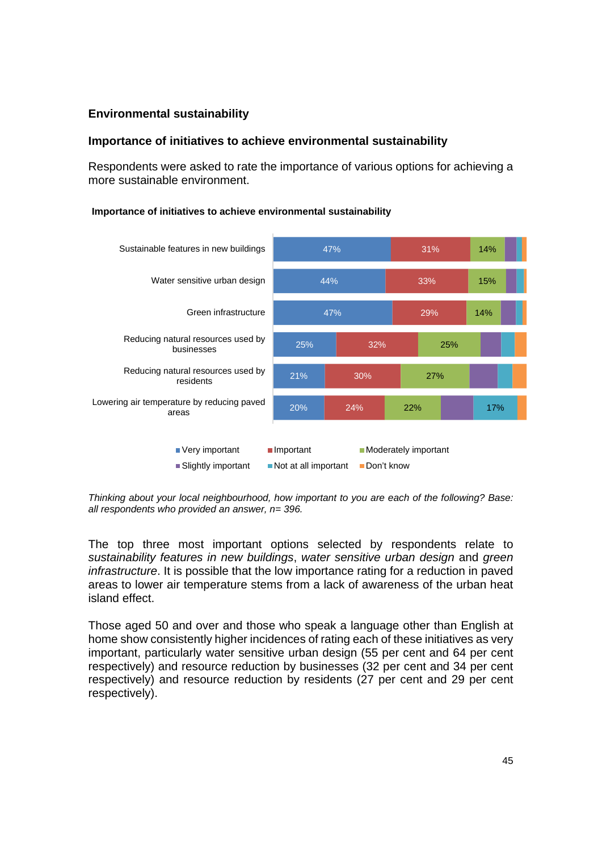## **Environmental sustainability**

### **Importance of initiatives to achieve environmental sustainability**

Respondents were asked to rate the importance of various options for achieving a more sustainable environment.

#### **Importance of initiatives to achieve environmental sustainability**



*Thinking about your local neighbourhood, how important to you are each of the following? Base: all respondents who provided an answer, n= 396.* 

The top three most important options selected by respondents relate to *sustainability features in new buildings*, *water sensitive urban design* and *green infrastructure*. It is possible that the low importance rating for a reduction in paved areas to lower air temperature stems from a lack of awareness of the urban heat island effect.

Those aged 50 and over and those who speak a language other than English at home show consistently higher incidences of rating each of these initiatives as very important, particularly water sensitive urban design (55 per cent and 64 per cent respectively) and resource reduction by businesses (32 per cent and 34 per cent respectively) and resource reduction by residents (27 per cent and 29 per cent respectively).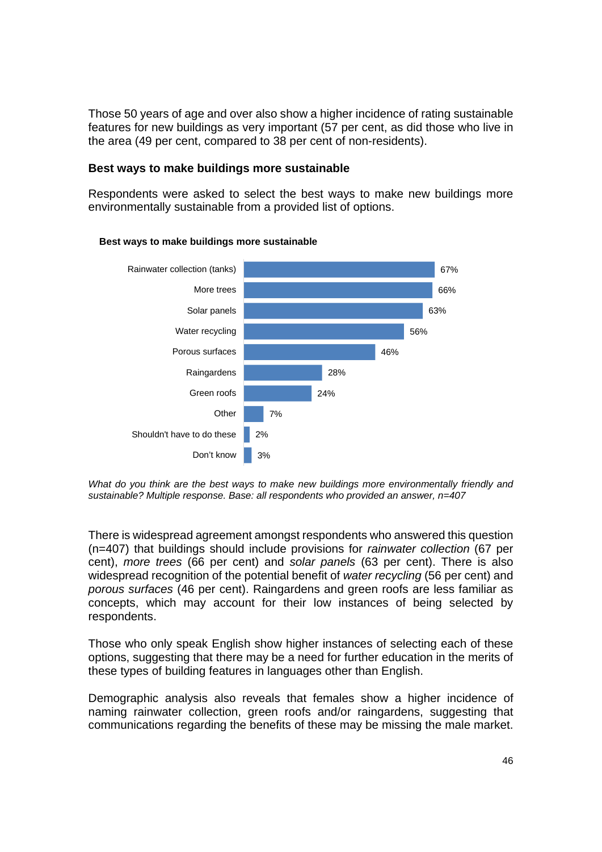Those 50 years of age and over also show a higher incidence of rating sustainable features for new buildings as very important (57 per cent, as did those who live in the area (49 per cent, compared to 38 per cent of non-residents).

## **Best ways to make buildings more sustainable**

Respondents were asked to select the best ways to make new buildings more environmentally sustainable from a provided list of options.



#### **Best ways to make buildings more sustainable**

*What do you think are the best ways to make new buildings more environmentally friendly and sustainable? Multiple response. Base: all respondents who provided an answer, n=407* 

There is widespread agreement amongst respondents who answered this question (n=407) that buildings should include provisions for *rainwater collection* (67 per cent), *more trees* (66 per cent) and *solar panels* (63 per cent). There is also widespread recognition of the potential benefit of *water recycling* (56 per cent) and *porous surfaces* (46 per cent). Raingardens and green roofs are less familiar as concepts, which may account for their low instances of being selected by respondents.

Those who only speak English show higher instances of selecting each of these options, suggesting that there may be a need for further education in the merits of these types of building features in languages other than English.

Demographic analysis also reveals that females show a higher incidence of naming rainwater collection, green roofs and/or raingardens, suggesting that communications regarding the benefits of these may be missing the male market.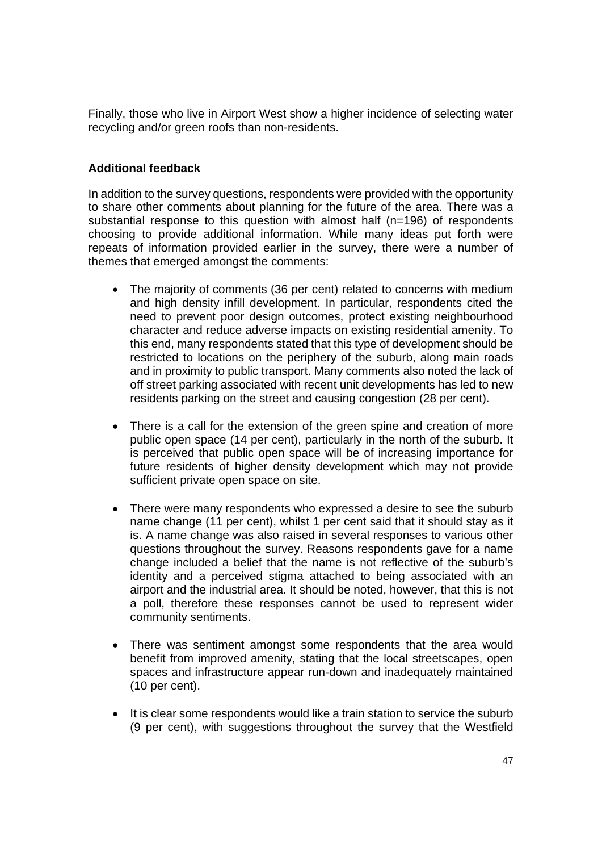Finally, those who live in Airport West show a higher incidence of selecting water recycling and/or green roofs than non-residents.

## **Additional feedback**

In addition to the survey questions, respondents were provided with the opportunity to share other comments about planning for the future of the area. There was a substantial response to this question with almost half (n=196) of respondents choosing to provide additional information. While many ideas put forth were repeats of information provided earlier in the survey, there were a number of themes that emerged amongst the comments:

- The majority of comments (36 per cent) related to concerns with medium and high density infill development. In particular, respondents cited the need to prevent poor design outcomes, protect existing neighbourhood character and reduce adverse impacts on existing residential amenity. To this end, many respondents stated that this type of development should be restricted to locations on the periphery of the suburb, along main roads and in proximity to public transport. Many comments also noted the lack of off street parking associated with recent unit developments has led to new residents parking on the street and causing congestion (28 per cent).
- There is a call for the extension of the green spine and creation of more public open space (14 per cent), particularly in the north of the suburb. It is perceived that public open space will be of increasing importance for future residents of higher density development which may not provide sufficient private open space on site.
- There were many respondents who expressed a desire to see the suburb name change (11 per cent), whilst 1 per cent said that it should stay as it is. A name change was also raised in several responses to various other questions throughout the survey. Reasons respondents gave for a name change included a belief that the name is not reflective of the suburb's identity and a perceived stigma attached to being associated with an airport and the industrial area. It should be noted, however, that this is not a poll, therefore these responses cannot be used to represent wider community sentiments.
- There was sentiment amongst some respondents that the area would benefit from improved amenity, stating that the local streetscapes, open spaces and infrastructure appear run-down and inadequately maintained (10 per cent).
- It is clear some respondents would like a train station to service the suburb (9 per cent), with suggestions throughout the survey that the Westfield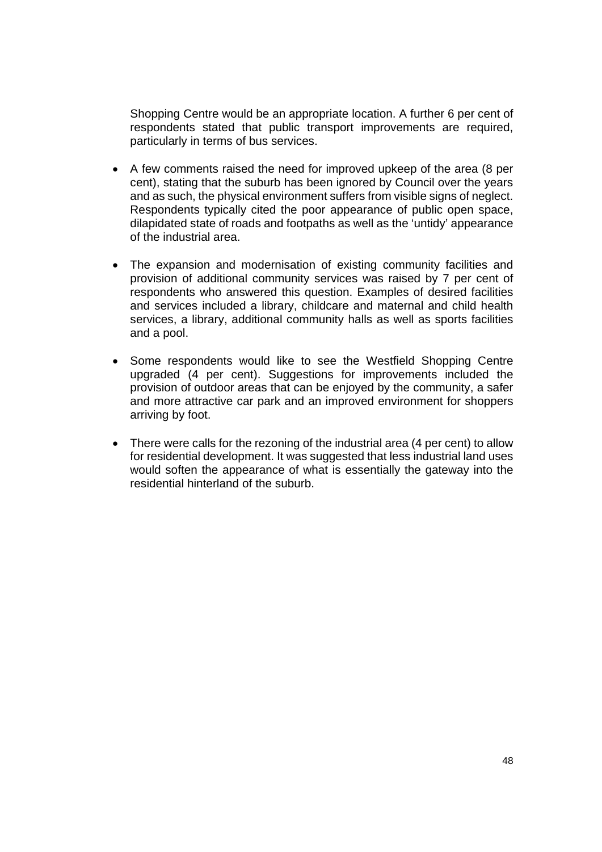Shopping Centre would be an appropriate location. A further 6 per cent of respondents stated that public transport improvements are required, particularly in terms of bus services.

- A few comments raised the need for improved upkeep of the area (8 per cent), stating that the suburb has been ignored by Council over the years and as such, the physical environment suffers from visible signs of neglect. Respondents typically cited the poor appearance of public open space, dilapidated state of roads and footpaths as well as the 'untidy' appearance of the industrial area.
- The expansion and modernisation of existing community facilities and provision of additional community services was raised by 7 per cent of respondents who answered this question. Examples of desired facilities and services included a library, childcare and maternal and child health services, a library, additional community halls as well as sports facilities and a pool.
- Some respondents would like to see the Westfield Shopping Centre upgraded (4 per cent). Suggestions for improvements included the provision of outdoor areas that can be enjoyed by the community, a safer and more attractive car park and an improved environment for shoppers arriving by foot.
- There were calls for the rezoning of the industrial area (4 per cent) to allow for residential development. It was suggested that less industrial land uses would soften the appearance of what is essentially the gateway into the residential hinterland of the suburb.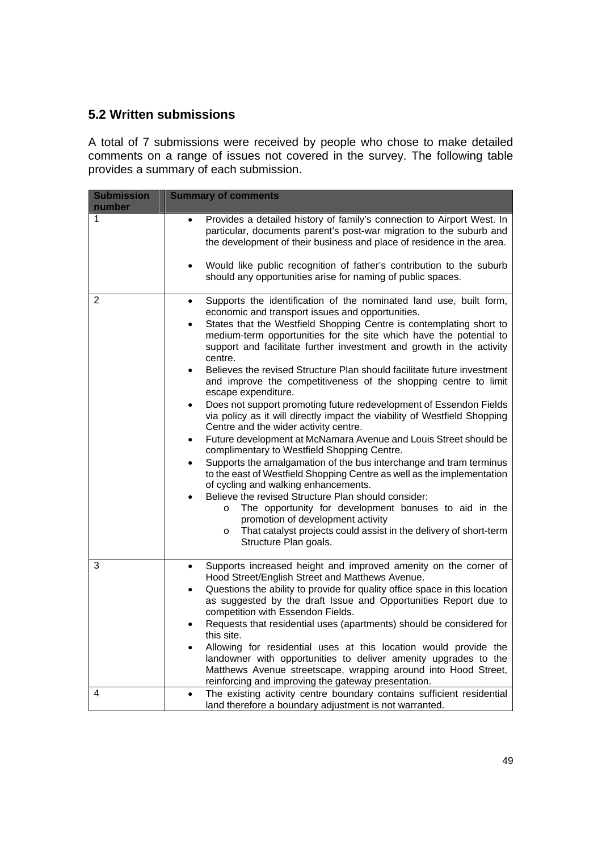## **5.2 Written submissions**

A total of 7 submissions were received by people who chose to make detailed comments on a range of issues not covered in the survey. The following table provides a summary of each submission.

| <b>Submission</b><br>number | <b>Summary of comments</b>                                                                                                                                                                                                                                                                                                                                                                                                                                                                                                                                                                                                                                                                                                                                                                                                                                                                                                                                                                                                                                                                                                                                                                                                                                                                                                            |  |  |
|-----------------------------|---------------------------------------------------------------------------------------------------------------------------------------------------------------------------------------------------------------------------------------------------------------------------------------------------------------------------------------------------------------------------------------------------------------------------------------------------------------------------------------------------------------------------------------------------------------------------------------------------------------------------------------------------------------------------------------------------------------------------------------------------------------------------------------------------------------------------------------------------------------------------------------------------------------------------------------------------------------------------------------------------------------------------------------------------------------------------------------------------------------------------------------------------------------------------------------------------------------------------------------------------------------------------------------------------------------------------------------|--|--|
| 1                           | Provides a detailed history of family's connection to Airport West. In<br>$\bullet$<br>particular, documents parent's post-war migration to the suburb and<br>the development of their business and place of residence in the area.<br>Would like public recognition of father's contribution to the suburb                                                                                                                                                                                                                                                                                                                                                                                                                                                                                                                                                                                                                                                                                                                                                                                                                                                                                                                                                                                                                           |  |  |
|                             | should any opportunities arise for naming of public spaces.                                                                                                                                                                                                                                                                                                                                                                                                                                                                                                                                                                                                                                                                                                                                                                                                                                                                                                                                                                                                                                                                                                                                                                                                                                                                           |  |  |
| 2                           | Supports the identification of the nominated land use, built form,<br>$\bullet$<br>economic and transport issues and opportunities.<br>States that the Westfield Shopping Centre is contemplating short to<br>medium-term opportunities for the site which have the potential to<br>support and facilitate further investment and growth in the activity<br>centre.<br>Believes the revised Structure Plan should facilitate future investment<br>and improve the competitiveness of the shopping centre to limit<br>escape expenditure.<br>Does not support promoting future redevelopment of Essendon Fields<br>via policy as it will directly impact the viability of Westfield Shopping<br>Centre and the wider activity centre.<br>Future development at McNamara Avenue and Louis Street should be<br>complimentary to Westfield Shopping Centre.<br>Supports the amalgamation of the bus interchange and tram terminus<br>$\bullet$<br>to the east of Westfield Shopping Centre as well as the implementation<br>of cycling and walking enhancements.<br>Believe the revised Structure Plan should consider:<br>The opportunity for development bonuses to aid in the<br>$\circ$<br>promotion of development activity<br>That catalyst projects could assist in the delivery of short-term<br>$\circ$<br>Structure Plan goals. |  |  |
| 3                           | Supports increased height and improved amenity on the corner of<br>$\bullet$<br>Hood Street/English Street and Matthews Avenue.<br>Questions the ability to provide for quality office space in this location<br>$\bullet$<br>as suggested by the draft Issue and Opportunities Report due to<br>competition with Essendon Fields.<br>Requests that residential uses (apartments) should be considered for<br>$\bullet$<br>this site.<br>Allowing for residential uses at this location would provide the<br>landowner with opportunities to deliver amenity upgrades to the<br>Matthews Avenue streetscape, wrapping around into Hood Street,<br>reinforcing and improving the gateway presentation.                                                                                                                                                                                                                                                                                                                                                                                                                                                                                                                                                                                                                                 |  |  |
| 4                           | The existing activity centre boundary contains sufficient residential<br>$\bullet$<br>land therefore a boundary adjustment is not warranted.                                                                                                                                                                                                                                                                                                                                                                                                                                                                                                                                                                                                                                                                                                                                                                                                                                                                                                                                                                                                                                                                                                                                                                                          |  |  |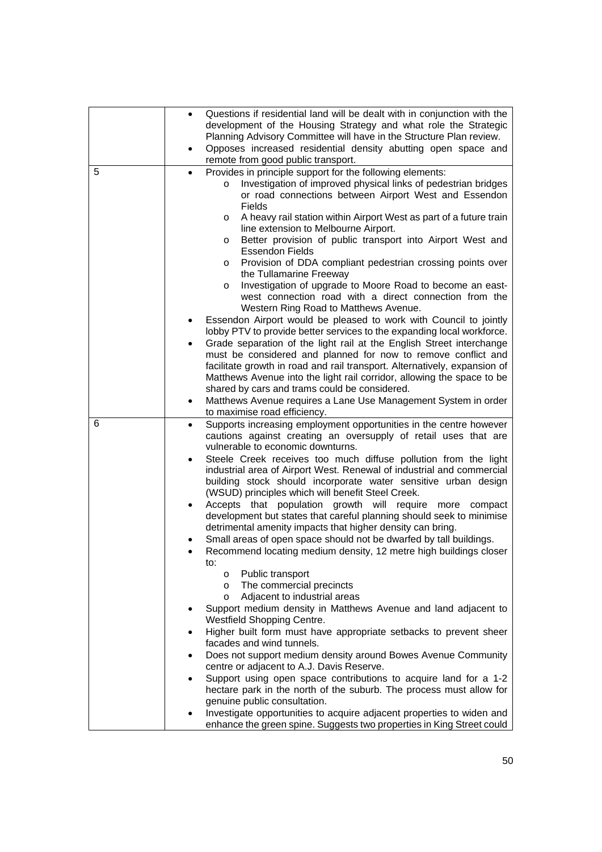|   | Questions if residential land will be dealt with in conjunction with the<br>$\bullet$<br>development of the Housing Strategy and what role the Strategic    |  |  |
|---|-------------------------------------------------------------------------------------------------------------------------------------------------------------|--|--|
|   | Planning Advisory Committee will have in the Structure Plan review.                                                                                         |  |  |
|   | Opposes increased residential density abutting open space and<br>$\bullet$<br>remote from good public transport.                                            |  |  |
| 5 | Provides in principle support for the following elements:<br>$\bullet$                                                                                      |  |  |
|   | Investigation of improved physical links of pedestrian bridges<br>$\circ$<br>or road connections between Airport West and Essendon                          |  |  |
|   | Fields                                                                                                                                                      |  |  |
|   | A heavy rail station within Airport West as part of a future train<br>O<br>line extension to Melbourne Airport.                                             |  |  |
|   | Better provision of public transport into Airport West and<br>O<br><b>Essendon Fields</b>                                                                   |  |  |
|   | Provision of DDA compliant pedestrian crossing points over<br>O                                                                                             |  |  |
|   | the Tullamarine Freeway<br>Investigation of upgrade to Moore Road to become an east-                                                                        |  |  |
|   | O<br>west connection road with a direct connection from the                                                                                                 |  |  |
|   | Western Ring Road to Matthews Avenue.                                                                                                                       |  |  |
|   | Essendon Airport would be pleased to work with Council to jointly                                                                                           |  |  |
|   | lobby PTV to provide better services to the expanding local workforce.<br>Grade separation of the light rail at the English Street interchange<br>$\bullet$ |  |  |
|   | must be considered and planned for now to remove conflict and                                                                                               |  |  |
|   | facilitate growth in road and rail transport. Alternatively, expansion of                                                                                   |  |  |
|   | Matthews Avenue into the light rail corridor, allowing the space to be                                                                                      |  |  |
|   | shared by cars and trams could be considered.<br>Matthews Avenue requires a Lane Use Management System in order<br>$\bullet$                                |  |  |
|   | to maximise road efficiency.                                                                                                                                |  |  |
| 6 | Supports increasing employment opportunities in the centre however<br>$\bullet$                                                                             |  |  |
|   | cautions against creating an oversupply of retail uses that are<br>vulnerable to economic downturns.                                                        |  |  |
|   | Steele Creek receives too much diffuse pollution from the light<br>$\bullet$                                                                                |  |  |
|   | industrial area of Airport West. Renewal of industrial and commercial                                                                                       |  |  |
|   | building stock should incorporate water sensitive urban design                                                                                              |  |  |
|   | (WSUD) principles which will benefit Steel Creek.<br>Accepts that population growth will require more<br>compact                                            |  |  |
|   | development but states that careful planning should seek to minimise                                                                                        |  |  |
|   | detrimental amenity impacts that higher density can bring.                                                                                                  |  |  |
|   | Small areas of open space should not be dwarfed by tall buildings.                                                                                          |  |  |
|   | Recommend locating medium density, 12 metre high buildings closer<br>$\bullet$<br>to:                                                                       |  |  |
|   | Public transport<br>$\circ$                                                                                                                                 |  |  |
|   | The commercial precincts<br>$\circ$                                                                                                                         |  |  |
|   | Adjacent to industrial areas<br>$\circ$                                                                                                                     |  |  |
|   | Support medium density in Matthews Avenue and land adjacent to<br>Westfield Shopping Centre.                                                                |  |  |
|   | Higher built form must have appropriate setbacks to prevent sheer<br>facades and wind tunnels.                                                              |  |  |
|   | Does not support medium density around Bowes Avenue Community<br>٠<br>centre or adjacent to A.J. Davis Reserve.                                             |  |  |
|   | Support using open space contributions to acquire land for a 1-2                                                                                            |  |  |
|   | hectare park in the north of the suburb. The process must allow for                                                                                         |  |  |
|   | genuine public consultation.<br>Investigate opportunities to acquire adjacent properties to widen and                                                       |  |  |
|   | enhance the green spine. Suggests two properties in King Street could                                                                                       |  |  |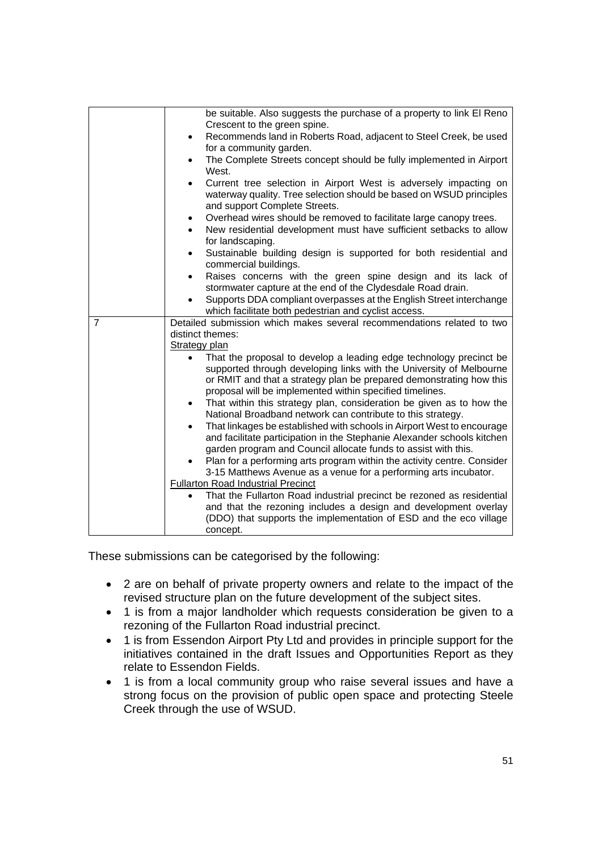|                | be suitable. Also suggests the purchase of a property to link El Reno<br>Crescent to the green spine.                                                                                 |  |  |  |
|----------------|---------------------------------------------------------------------------------------------------------------------------------------------------------------------------------------|--|--|--|
|                | Recommends land in Roberts Road, adjacent to Steel Creek, be used<br>$\bullet$                                                                                                        |  |  |  |
|                | for a community garden.                                                                                                                                                               |  |  |  |
|                | The Complete Streets concept should be fully implemented in Airport<br>$\bullet$<br>West.                                                                                             |  |  |  |
|                | Current tree selection in Airport West is adversely impacting on<br>$\bullet$<br>waterway quality. Tree selection should be based on WSUD principles<br>and support Complete Streets. |  |  |  |
|                | Overhead wires should be removed to facilitate large canopy trees.                                                                                                                    |  |  |  |
|                | New residential development must have sufficient setbacks to allow<br>$\bullet$<br>for landscaping.                                                                                   |  |  |  |
|                |                                                                                                                                                                                       |  |  |  |
|                | Sustainable building design is supported for both residential and<br>commercial buildings.                                                                                            |  |  |  |
|                | Raises concerns with the green spine design and its lack of                                                                                                                           |  |  |  |
|                | stormwater capture at the end of the Clydesdale Road drain.                                                                                                                           |  |  |  |
|                | Supports DDA compliant overpasses at the English Street interchange                                                                                                                   |  |  |  |
|                | which facilitate both pedestrian and cyclist access.                                                                                                                                  |  |  |  |
| $\overline{7}$ | Detailed submission which makes several recommendations related to two                                                                                                                |  |  |  |
|                | distinct themes:                                                                                                                                                                      |  |  |  |
|                | <b>Strategy plan</b>                                                                                                                                                                  |  |  |  |
|                | That the proposal to develop a leading edge technology precinct be                                                                                                                    |  |  |  |
|                | supported through developing links with the University of Melbourne                                                                                                                   |  |  |  |
|                | or RMIT and that a strategy plan be prepared demonstrating how this<br>proposal will be implemented within specified timelines.                                                       |  |  |  |
|                | That within this strategy plan, consideration be given as to how the<br>$\bullet$                                                                                                     |  |  |  |
|                | National Broadband network can contribute to this strategy.                                                                                                                           |  |  |  |
|                | That linkages be established with schools in Airport West to encourage<br>$\bullet$                                                                                                   |  |  |  |
|                | and facilitate participation in the Stephanie Alexander schools kitchen                                                                                                               |  |  |  |
|                | garden program and Council allocate funds to assist with this.                                                                                                                        |  |  |  |
|                | Plan for a performing arts program within the activity centre. Consider                                                                                                               |  |  |  |
|                | 3-15 Matthews Avenue as a venue for a performing arts incubator.                                                                                                                      |  |  |  |
|                | <b>Fullarton Road Industrial Precinct</b>                                                                                                                                             |  |  |  |
|                | That the Fullarton Road industrial precinct be rezoned as residential                                                                                                                 |  |  |  |
|                | and that the rezoning includes a design and development overlay                                                                                                                       |  |  |  |
|                | (DDO) that supports the implementation of ESD and the eco village                                                                                                                     |  |  |  |
|                |                                                                                                                                                                                       |  |  |  |

These submissions can be categorised by the following:

- 2 are on behalf of private property owners and relate to the impact of the revised structure plan on the future development of the subject sites.
- 1 is from a major landholder which requests consideration be given to a rezoning of the Fullarton Road industrial precinct.
- 1 is from Essendon Airport Pty Ltd and provides in principle support for the initiatives contained in the draft Issues and Opportunities Report as they relate to Essendon Fields.
- 1 is from a local community group who raise several issues and have a strong focus on the provision of public open space and protecting Steele Creek through the use of WSUD.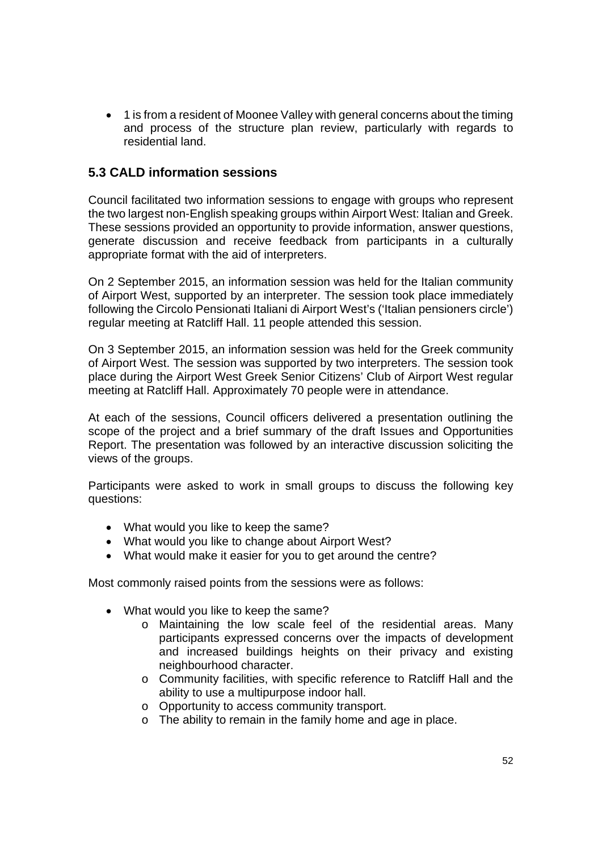• 1 is from a resident of Moonee Valley with general concerns about the timing and process of the structure plan review, particularly with regards to residential land.

## **5.3 CALD information sessions**

Council facilitated two information sessions to engage with groups who represent the two largest non-English speaking groups within Airport West: Italian and Greek. These sessions provided an opportunity to provide information, answer questions, generate discussion and receive feedback from participants in a culturally appropriate format with the aid of interpreters.

On 2 September 2015, an information session was held for the Italian community of Airport West, supported by an interpreter. The session took place immediately following the Circolo Pensionati Italiani di Airport West's ('Italian pensioners circle') regular meeting at Ratcliff Hall. 11 people attended this session.

On 3 September 2015, an information session was held for the Greek community of Airport West. The session was supported by two interpreters. The session took place during the Airport West Greek Senior Citizens' Club of Airport West regular meeting at Ratcliff Hall. Approximately 70 people were in attendance.

At each of the sessions, Council officers delivered a presentation outlining the scope of the project and a brief summary of the draft Issues and Opportunities Report. The presentation was followed by an interactive discussion soliciting the views of the groups.

Participants were asked to work in small groups to discuss the following key questions:

- What would you like to keep the same?
- What would you like to change about Airport West?
- What would make it easier for you to get around the centre?

Most commonly raised points from the sessions were as follows:

- What would you like to keep the same?
	- o Maintaining the low scale feel of the residential areas. Many participants expressed concerns over the impacts of development and increased buildings heights on their privacy and existing neighbourhood character.
	- o Community facilities, with specific reference to Ratcliff Hall and the ability to use a multipurpose indoor hall.
	- o Opportunity to access community transport.
	- o The ability to remain in the family home and age in place.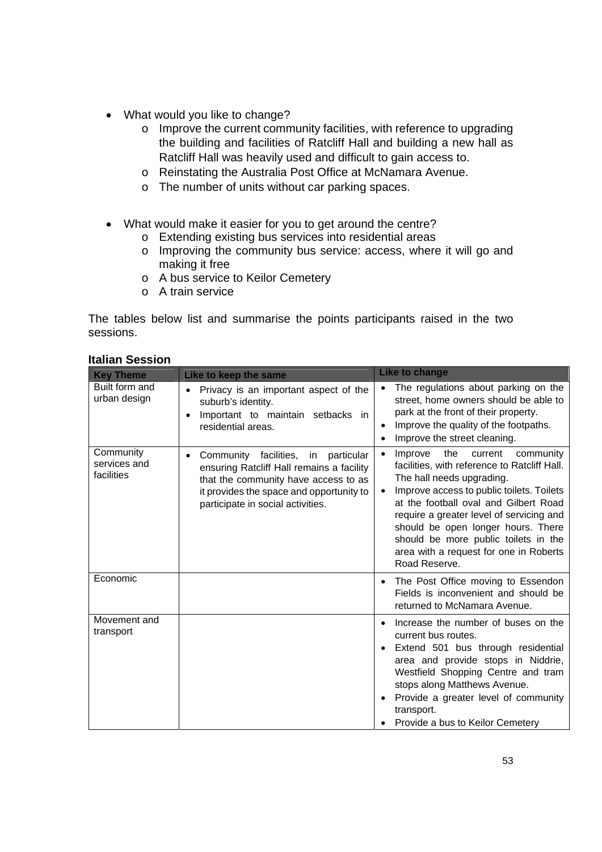- What would you like to change?
	- o Improve the current community facilities, with reference to upgrading the building and facilities of Ratcliff Hall and building a new hall as Ratcliff Hall was heavily used and difficult to gain access to.
	- o Reinstating the Australia Post Office at McNamara Avenue.
	- o The number of units without car parking spaces.
- What would make it easier for you to get around the centre?
	- o Extending existing bus services into residential areas
	- o Improving the community bus service: access, where it will go and making it free
	- o A bus service to Keilor Cemetery
	- o A train service

The tables below list and summarise the points participants raised in the two sessions.

| <b>Key Theme</b>                        | Like to keep the same                                                                                                                                                                                                           | <b>Like to change</b>                                                                                                                                                                                                                                                                                                                                                                                       |  |
|-----------------------------------------|---------------------------------------------------------------------------------------------------------------------------------------------------------------------------------------------------------------------------------|-------------------------------------------------------------------------------------------------------------------------------------------------------------------------------------------------------------------------------------------------------------------------------------------------------------------------------------------------------------------------------------------------------------|--|
| Built form and<br>urban design          | Privacy is an important aspect of the<br>$\bullet$<br>suburb's identity.<br>Important to maintain setbacks in<br>$\bullet$<br>residential areas.                                                                                | The regulations about parking on the<br>street, home owners should be able to<br>park at the front of their property.<br>Improve the quality of the footpaths.<br>Improve the street cleaning.                                                                                                                                                                                                              |  |
| Community<br>services and<br>facilities | facilities,<br>Community<br>in<br>particular<br>$\bullet$<br>ensuring Ratcliff Hall remains a facility<br>that the community have access to as<br>it provides the space and opportunity to<br>participate in social activities. | Improve<br>the<br>community<br>current<br>facilities, with reference to Ratcliff Hall.<br>The hall needs upgrading.<br>Improve access to public toilets. Toilets<br>$\bullet$<br>at the football oval and Gilbert Road<br>require a greater level of servicing and<br>should be open longer hours. There<br>should be more public toilets in the<br>area with a request for one in Roberts<br>Road Reserve. |  |
| Economic                                |                                                                                                                                                                                                                                 | The Post Office moving to Essendon<br>Fields is inconvenient and should be<br>returned to McNamara Avenue.                                                                                                                                                                                                                                                                                                  |  |
| Movement and<br>transport               |                                                                                                                                                                                                                                 | Increase the number of buses on the<br>current bus routes.<br>Extend 501 bus through residential<br>area and provide stops in Niddrie,<br>Westfield Shopping Centre and tram<br>stops along Matthews Avenue.<br>Provide a greater level of community<br>transport.<br>Provide a bus to Keilor Cemetery                                                                                                      |  |

### **Italian Session**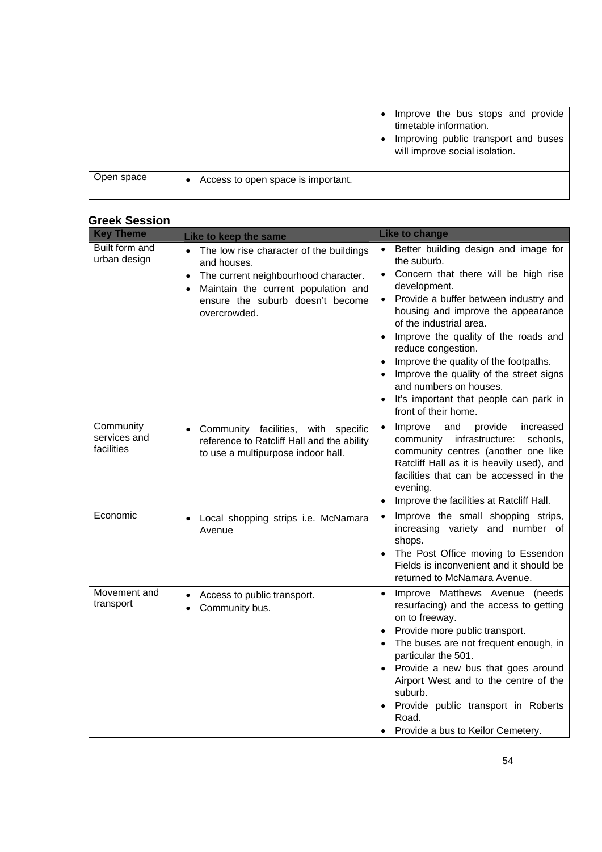|            |                                    | Improve the bus stops and provide<br>timetable information.<br>Improving public transport and buses<br>will improve social isolation. |
|------------|------------------------------------|---------------------------------------------------------------------------------------------------------------------------------------|
| Open space | Access to open space is important. |                                                                                                                                       |

## **Greek Session**

| <b>Key Theme</b>                        | Like to keep the same                                                                                                                                                                                                 | <b>Like to change</b>                                                                                                                                                                                                                                                                                                                                                                                                                                                                                                   |
|-----------------------------------------|-----------------------------------------------------------------------------------------------------------------------------------------------------------------------------------------------------------------------|-------------------------------------------------------------------------------------------------------------------------------------------------------------------------------------------------------------------------------------------------------------------------------------------------------------------------------------------------------------------------------------------------------------------------------------------------------------------------------------------------------------------------|
| Built form and<br>urban design          | • The low rise character of the buildings<br>and houses.<br>The current neighbourhood character.<br>$\bullet$<br>Maintain the current population and<br>$\bullet$<br>ensure the suburb doesn't become<br>overcrowded. | Better building design and image for<br>$\bullet$<br>the suburb.<br>Concern that there will be high rise<br>$\bullet$<br>development.<br>Provide a buffer between industry and<br>housing and improve the appearance<br>of the industrial area.<br>Improve the quality of the roads and<br>$\bullet$<br>reduce congestion.<br>Improve the quality of the footpaths.<br>Improve the quality of the street signs<br>$\bullet$<br>and numbers on houses.<br>It's important that people can park in<br>front of their home. |
| Community<br>services and<br>facilities | Community facilities, with specific<br>$\bullet$<br>reference to Ratcliff Hall and the ability<br>to use a multipurpose indoor hall.                                                                                  | Improve<br>and<br>provide<br>increased<br>$\bullet$<br>infrastructure:<br>community<br>schools,<br>community centres (another one like<br>Ratcliff Hall as it is heavily used), and<br>facilities that can be accessed in the<br>evening.<br>Improve the facilities at Ratcliff Hall.                                                                                                                                                                                                                                   |
| Economic                                | Local shopping strips i.e. McNamara<br>$\bullet$<br>Avenue                                                                                                                                                            | Improve the small shopping strips,<br>$\bullet$<br>increasing variety and number of<br>shops.<br>The Post Office moving to Essendon<br>Fields is inconvenient and it should be<br>returned to McNamara Avenue.                                                                                                                                                                                                                                                                                                          |
| Movement and<br>transport               | Access to public transport.<br>$\bullet$<br>Community bus.                                                                                                                                                            | Improve Matthews Avenue (needs<br>$\bullet$<br>resurfacing) and the access to getting<br>on to freeway.<br>Provide more public transport.<br>The buses are not frequent enough, in<br>particular the 501.<br>Provide a new bus that goes around<br>Airport West and to the centre of the<br>suburb.<br>Provide public transport in Roberts<br>$\bullet$<br>Road.<br>Provide a bus to Keilor Cemetery.                                                                                                                   |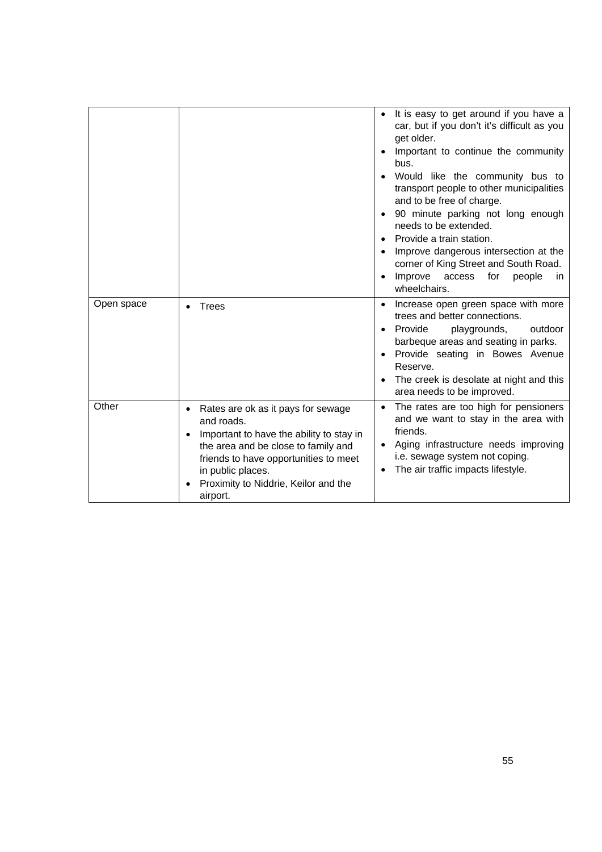|            |                                                                                                                                                                                                                                                       | It is easy to get around if you have a<br>car, but if you don't it's difficult as you<br>get older.<br>Important to continue the community<br>bus.<br>Would like the community bus to<br>transport people to other municipalities<br>and to be free of charge.<br>90 minute parking not long enough<br>needs to be extended.<br>Provide a train station.<br>Improve dangerous intersection at the<br>corner of King Street and South Road.<br>Improve<br>access<br>for<br>people<br>in.<br>wheelchairs. |
|------------|-------------------------------------------------------------------------------------------------------------------------------------------------------------------------------------------------------------------------------------------------------|---------------------------------------------------------------------------------------------------------------------------------------------------------------------------------------------------------------------------------------------------------------------------------------------------------------------------------------------------------------------------------------------------------------------------------------------------------------------------------------------------------|
| Open space | <b>Trees</b>                                                                                                                                                                                                                                          | Increase open green space with more<br>$\bullet$<br>trees and better connections.<br>Provide<br>playgrounds,<br>outdoor<br>barbeque areas and seating in parks.<br>• Provide seating in Bowes Avenue<br>Reserve.<br>The creek is desolate at night and this<br>area needs to be improved.                                                                                                                                                                                                               |
| Other      | Rates are ok as it pays for sewage<br>and roads.<br>Important to have the ability to stay in<br>the area and be close to family and<br>friends to have opportunities to meet<br>in public places.<br>Proximity to Niddrie, Keilor and the<br>airport. | The rates are too high for pensioners<br>and we want to stay in the area with<br>friends.<br>Aging infrastructure needs improving<br>$\bullet$<br>i.e. sewage system not coping.<br>The air traffic impacts lifestyle.                                                                                                                                                                                                                                                                                  |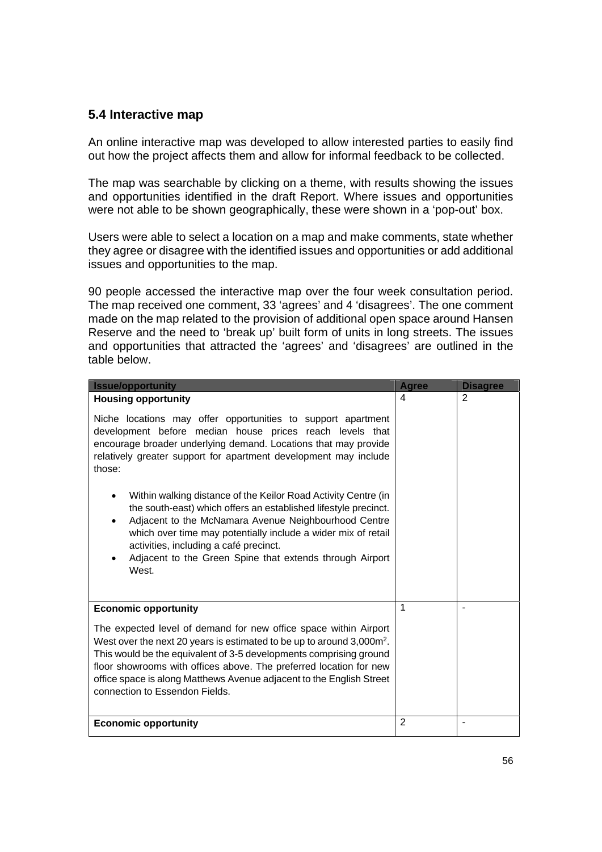## **5.4 Interactive map**

An online interactive map was developed to allow interested parties to easily find out how the project affects them and allow for informal feedback to be collected.

The map was searchable by clicking on a theme, with results showing the issues and opportunities identified in the draft Report. Where issues and opportunities were not able to be shown geographically, these were shown in a 'pop-out' box.

Users were able to select a location on a map and make comments, state whether they agree or disagree with the identified issues and opportunities or add additional issues and opportunities to the map.

90 people accessed the interactive map over the four week consultation period. The map received one comment, 33 'agrees' and 4 'disagrees'. The one comment made on the map related to the provision of additional open space around Hansen Reserve and the need to 'break up' built form of units in long streets. The issues and opportunities that attracted the 'agrees' and 'disagrees' are outlined in the table below.

| <b>Issue/opportunity</b>                                                                                                                                                                                                                                                                                                                                                                                                                                                                                                                                                                                                                                                         | <b>Agree</b>   | <b>Disagree</b> |
|----------------------------------------------------------------------------------------------------------------------------------------------------------------------------------------------------------------------------------------------------------------------------------------------------------------------------------------------------------------------------------------------------------------------------------------------------------------------------------------------------------------------------------------------------------------------------------------------------------------------------------------------------------------------------------|----------------|-----------------|
| <b>Housing opportunity</b>                                                                                                                                                                                                                                                                                                                                                                                                                                                                                                                                                                                                                                                       | 4              | 2               |
| Niche locations may offer opportunities to support apartment<br>development before median house prices reach levels that<br>encourage broader underlying demand. Locations that may provide<br>relatively greater support for apartment development may include<br>those:<br>Within walking distance of the Keilor Road Activity Centre (in<br>$\bullet$<br>the south-east) which offers an established lifestyle precinct.<br>Adjacent to the McNamara Avenue Neighbourhood Centre<br>$\bullet$<br>which over time may potentially include a wider mix of retail<br>activities, including a café precinct.<br>Adjacent to the Green Spine that extends through Airport<br>West. |                |                 |
|                                                                                                                                                                                                                                                                                                                                                                                                                                                                                                                                                                                                                                                                                  |                |                 |
| <b>Economic opportunity</b>                                                                                                                                                                                                                                                                                                                                                                                                                                                                                                                                                                                                                                                      | 1              |                 |
| The expected level of demand for new office space within Airport<br>West over the next 20 years is estimated to be up to around 3,000m <sup>2</sup> .<br>This would be the equivalent of 3-5 developments comprising ground<br>floor showrooms with offices above. The preferred location for new<br>office space is along Matthews Avenue adjacent to the English Street<br>connection to Essendon Fields.                                                                                                                                                                                                                                                                      |                |                 |
| <b>Economic opportunity</b>                                                                                                                                                                                                                                                                                                                                                                                                                                                                                                                                                                                                                                                      | $\overline{2}$ |                 |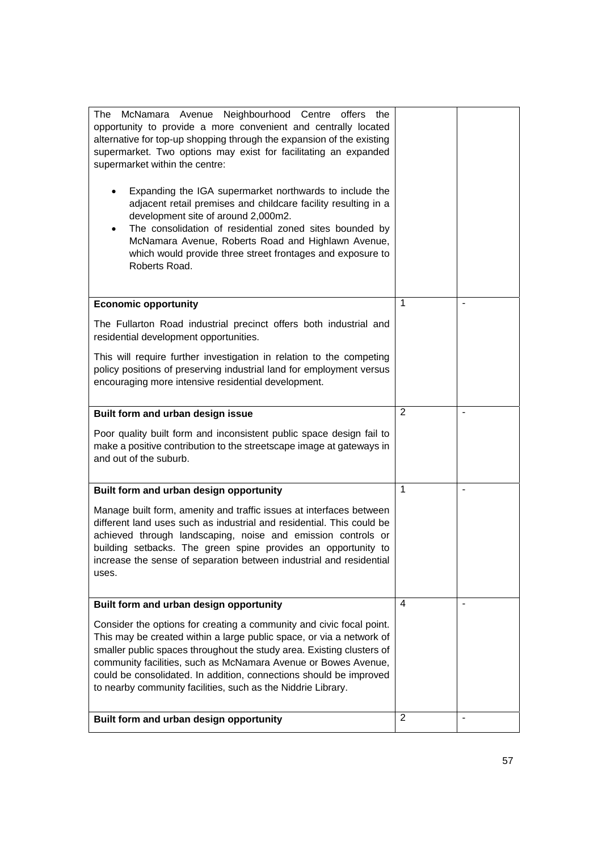| McNamara Avenue Neighbourhood Centre<br>The<br>offers<br>the<br>opportunity to provide a more convenient and centrally located<br>alternative for top-up shopping through the expansion of the existing<br>supermarket. Two options may exist for facilitating an expanded<br>supermarket within the centre:<br>Expanding the IGA supermarket northwards to include the<br>adjacent retail premises and childcare facility resulting in a<br>development site of around 2,000m2.<br>The consolidation of residential zoned sites bounded by<br>$\bullet$<br>McNamara Avenue, Roberts Road and Highlawn Avenue,<br>which would provide three street frontages and exposure to<br>Roberts Road. |   |  |
|-----------------------------------------------------------------------------------------------------------------------------------------------------------------------------------------------------------------------------------------------------------------------------------------------------------------------------------------------------------------------------------------------------------------------------------------------------------------------------------------------------------------------------------------------------------------------------------------------------------------------------------------------------------------------------------------------|---|--|
| <b>Economic opportunity</b>                                                                                                                                                                                                                                                                                                                                                                                                                                                                                                                                                                                                                                                                   | 1 |  |
| The Fullarton Road industrial precinct offers both industrial and<br>residential development opportunities.                                                                                                                                                                                                                                                                                                                                                                                                                                                                                                                                                                                   |   |  |
| This will require further investigation in relation to the competing<br>policy positions of preserving industrial land for employment versus<br>encouraging more intensive residential development.                                                                                                                                                                                                                                                                                                                                                                                                                                                                                           |   |  |
| Built form and urban design issue                                                                                                                                                                                                                                                                                                                                                                                                                                                                                                                                                                                                                                                             | 2 |  |
| Poor quality built form and inconsistent public space design fail to<br>make a positive contribution to the streetscape image at gateways in<br>and out of the suburb.                                                                                                                                                                                                                                                                                                                                                                                                                                                                                                                        |   |  |
| Built form and urban design opportunity                                                                                                                                                                                                                                                                                                                                                                                                                                                                                                                                                                                                                                                       | 1 |  |
| Manage built form, amenity and traffic issues at interfaces between<br>different land uses such as industrial and residential. This could be<br>achieved through landscaping, noise and emission controls or<br>building setbacks. The green spine provides an opportunity to<br>increase the sense of separation between industrial and residential<br>uses.                                                                                                                                                                                                                                                                                                                                 |   |  |
| Built form and urban design opportunity                                                                                                                                                                                                                                                                                                                                                                                                                                                                                                                                                                                                                                                       | 4 |  |
| Consider the options for creating a community and civic focal point.<br>This may be created within a large public space, or via a network of<br>smaller public spaces throughout the study area. Existing clusters of<br>community facilities, such as McNamara Avenue or Bowes Avenue,<br>could be consolidated. In addition, connections should be improved<br>to nearby community facilities, such as the Niddrie Library.                                                                                                                                                                                                                                                                 |   |  |
| Built form and urban design opportunity                                                                                                                                                                                                                                                                                                                                                                                                                                                                                                                                                                                                                                                       | 2 |  |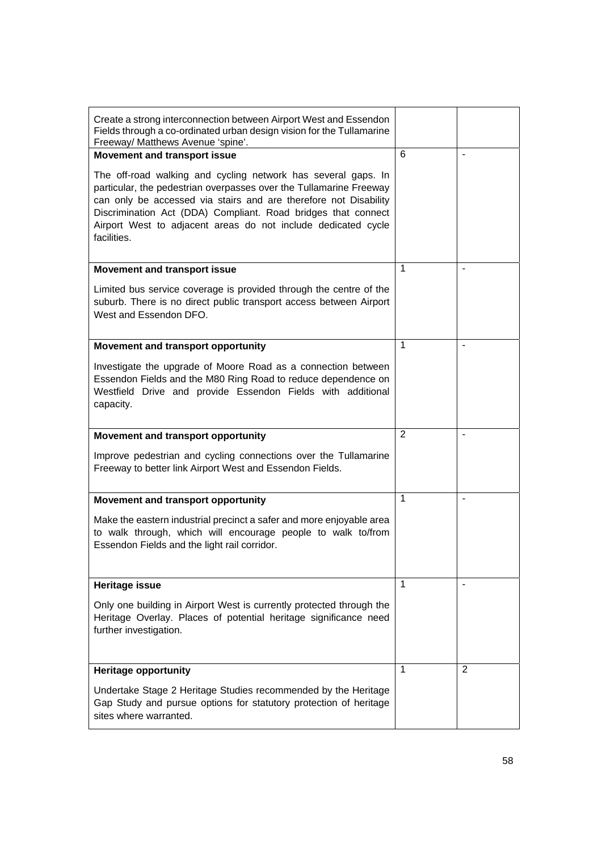| Create a strong interconnection between Airport West and Essendon<br>Fields through a co-ordinated urban design vision for the Tullamarine<br>Freeway/ Matthews Avenue 'spine'.                                                                                                                                                                          |                |                |
|----------------------------------------------------------------------------------------------------------------------------------------------------------------------------------------------------------------------------------------------------------------------------------------------------------------------------------------------------------|----------------|----------------|
| <b>Movement and transport issue</b>                                                                                                                                                                                                                                                                                                                      | 6              | $\blacksquare$ |
| The off-road walking and cycling network has several gaps. In<br>particular, the pedestrian overpasses over the Tullamarine Freeway<br>can only be accessed via stairs and are therefore not Disability<br>Discrimination Act (DDA) Compliant. Road bridges that connect<br>Airport West to adjacent areas do not include dedicated cycle<br>facilities. |                |                |
| <b>Movement and transport issue</b>                                                                                                                                                                                                                                                                                                                      | 1              |                |
| Limited bus service coverage is provided through the centre of the<br>suburb. There is no direct public transport access between Airport<br>West and Essendon DFO.                                                                                                                                                                                       |                |                |
| Movement and transport opportunity                                                                                                                                                                                                                                                                                                                       | 1              |                |
| Investigate the upgrade of Moore Road as a connection between<br>Essendon Fields and the M80 Ring Road to reduce dependence on<br>Westfield Drive and provide Essendon Fields with additional<br>capacity.                                                                                                                                               |                |                |
| Movement and transport opportunity                                                                                                                                                                                                                                                                                                                       | $\overline{2}$ | $\blacksquare$ |
| Improve pedestrian and cycling connections over the Tullamarine<br>Freeway to better link Airport West and Essendon Fields.                                                                                                                                                                                                                              |                |                |
| Movement and transport opportunity                                                                                                                                                                                                                                                                                                                       | 1              |                |
| Make the eastern industrial precinct a safer and more enjoyable area<br>to walk through, which will encourage people to walk to/from<br>Essendon Fields and the light rail corridor.                                                                                                                                                                     |                |                |
| <b>Heritage issue</b>                                                                                                                                                                                                                                                                                                                                    | 1              |                |
| Only one building in Airport West is currently protected through the<br>Heritage Overlay. Places of potential heritage significance need<br>further investigation.                                                                                                                                                                                       |                |                |
| <b>Heritage opportunity</b>                                                                                                                                                                                                                                                                                                                              | 1              | 2              |
| Undertake Stage 2 Heritage Studies recommended by the Heritage<br>Gap Study and pursue options for statutory protection of heritage<br>sites where warranted.                                                                                                                                                                                            |                |                |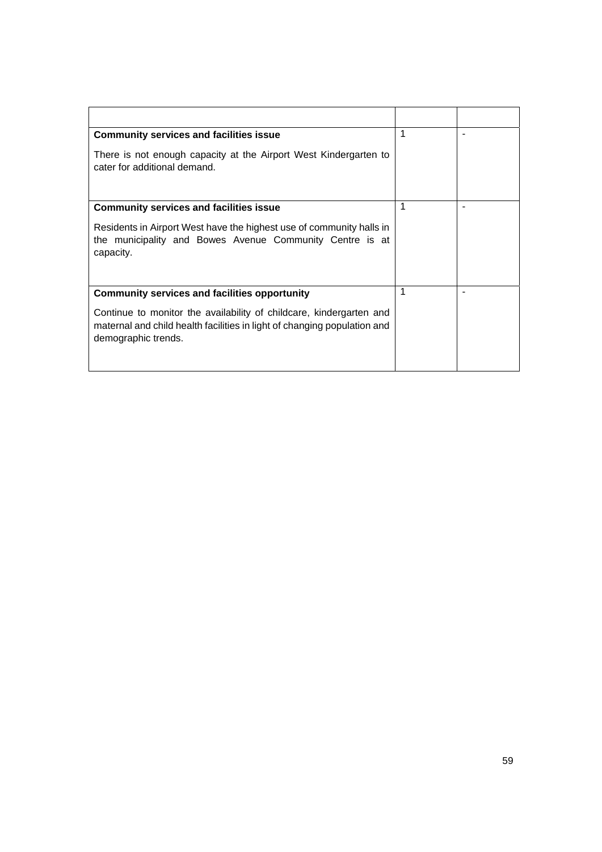| <b>Community services and facilities issue</b>                                                                                                                         | 1 |  |
|------------------------------------------------------------------------------------------------------------------------------------------------------------------------|---|--|
| There is not enough capacity at the Airport West Kindergarten to<br>cater for additional demand.                                                                       |   |  |
| <b>Community services and facilities issue</b>                                                                                                                         | 1 |  |
| Residents in Airport West have the highest use of community halls in<br>the municipality and Bowes Avenue Community Centre is at<br>capacity.                          |   |  |
| <b>Community services and facilities opportunity</b>                                                                                                                   | 1 |  |
| Continue to monitor the availability of childcare, kindergarten and<br>maternal and child health facilities in light of changing population and<br>demographic trends. |   |  |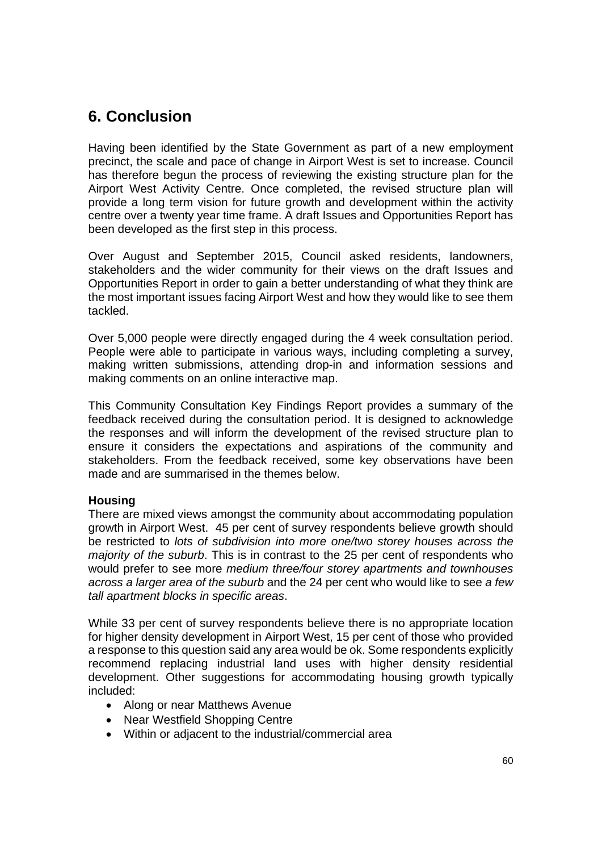# **6. Conclusion**

Having been identified by the State Government as part of a new employment precinct, the scale and pace of change in Airport West is set to increase. Council has therefore begun the process of reviewing the existing structure plan for the Airport West Activity Centre. Once completed, the revised structure plan will provide a long term vision for future growth and development within the activity centre over a twenty year time frame. A draft Issues and Opportunities Report has been developed as the first step in this process.

Over August and September 2015, Council asked residents, landowners, stakeholders and the wider community for their views on the draft Issues and Opportunities Report in order to gain a better understanding of what they think are the most important issues facing Airport West and how they would like to see them tackled.

Over 5,000 people were directly engaged during the 4 week consultation period. People were able to participate in various ways, including completing a survey, making written submissions, attending drop-in and information sessions and making comments on an online interactive map.

This Community Consultation Key Findings Report provides a summary of the feedback received during the consultation period. It is designed to acknowledge the responses and will inform the development of the revised structure plan to ensure it considers the expectations and aspirations of the community and stakeholders. From the feedback received, some key observations have been made and are summarised in the themes below.

## **Housing**

There are mixed views amongst the community about accommodating population growth in Airport West. 45 per cent of survey respondents believe growth should be restricted to *lots of subdivision into more one/two storey houses across the majority of the suburb*. This is in contrast to the 25 per cent of respondents who would prefer to see more *medium three/four storey apartments and townhouses across a larger area of the suburb* and the 24 per cent who would like to see *a few tall apartment blocks in specific areas*.

While 33 per cent of survey respondents believe there is no appropriate location for higher density development in Airport West, 15 per cent of those who provided a response to this question said any area would be ok. Some respondents explicitly recommend replacing industrial land uses with higher density residential development. Other suggestions for accommodating housing growth typically included:

- Along or near Matthews Avenue
- Near Westfield Shopping Centre
- Within or adjacent to the industrial/commercial area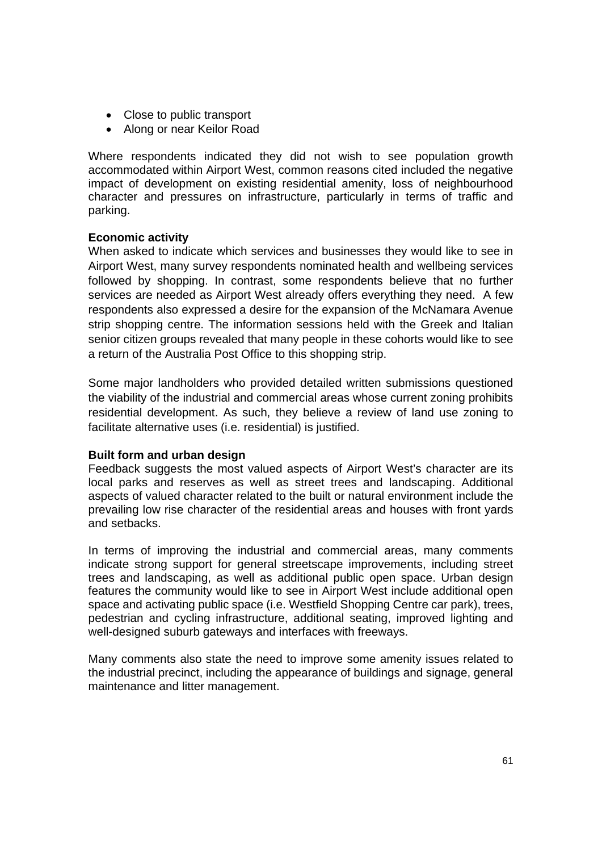- Close to public transport
- Along or near Keilor Road

Where respondents indicated they did not wish to see population growth accommodated within Airport West, common reasons cited included the negative impact of development on existing residential amenity, loss of neighbourhood character and pressures on infrastructure, particularly in terms of traffic and parking.

## **Economic activity**

When asked to indicate which services and businesses they would like to see in Airport West, many survey respondents nominated health and wellbeing services followed by shopping. In contrast, some respondents believe that no further services are needed as Airport West already offers everything they need. A few respondents also expressed a desire for the expansion of the McNamara Avenue strip shopping centre. The information sessions held with the Greek and Italian senior citizen groups revealed that many people in these cohorts would like to see a return of the Australia Post Office to this shopping strip.

Some major landholders who provided detailed written submissions questioned the viability of the industrial and commercial areas whose current zoning prohibits residential development. As such, they believe a review of land use zoning to facilitate alternative uses (i.e. residential) is justified.

## **Built form and urban design**

Feedback suggests the most valued aspects of Airport West's character are its local parks and reserves as well as street trees and landscaping. Additional aspects of valued character related to the built or natural environment include the prevailing low rise character of the residential areas and houses with front yards and setbacks.

In terms of improving the industrial and commercial areas, many comments indicate strong support for general streetscape improvements, including street trees and landscaping, as well as additional public open space. Urban design features the community would like to see in Airport West include additional open space and activating public space (i.e. Westfield Shopping Centre car park), trees, pedestrian and cycling infrastructure, additional seating, improved lighting and well-designed suburb gateways and interfaces with freeways.

Many comments also state the need to improve some amenity issues related to the industrial precinct, including the appearance of buildings and signage, general maintenance and litter management.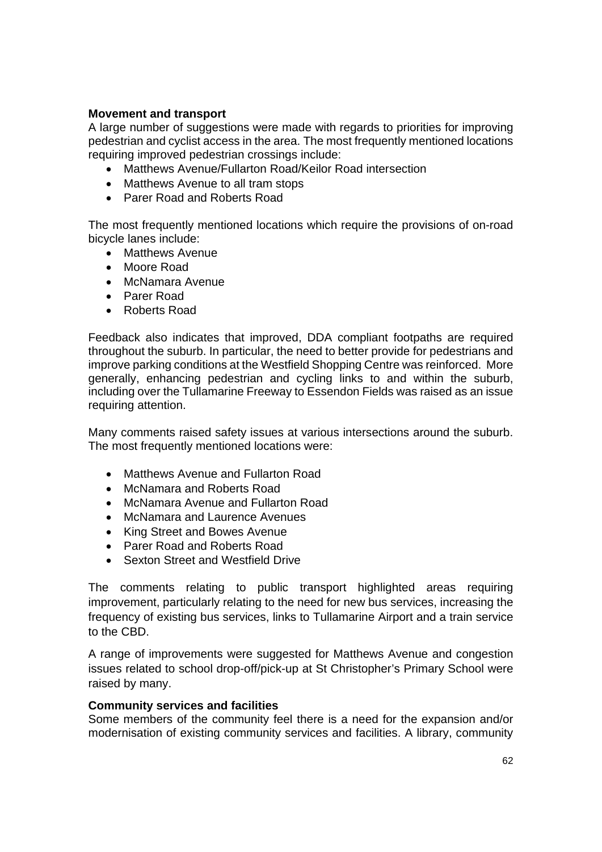## **Movement and transport**

A large number of suggestions were made with regards to priorities for improving pedestrian and cyclist access in the area. The most frequently mentioned locations requiring improved pedestrian crossings include:

- Matthews Avenue/Fullarton Road/Keilor Road intersection
- Matthews Avenue to all tram stops
- Parer Road and Roberts Road

The most frequently mentioned locations which require the provisions of on-road bicycle lanes include:

- Matthews Avenue
- Moore Road
- McNamara Avenue
- Parer Road
- Roberts Road

Feedback also indicates that improved, DDA compliant footpaths are required throughout the suburb. In particular, the need to better provide for pedestrians and improve parking conditions at the Westfield Shopping Centre was reinforced. More generally, enhancing pedestrian and cycling links to and within the suburb, including over the Tullamarine Freeway to Essendon Fields was raised as an issue requiring attention.

Many comments raised safety issues at various intersections around the suburb. The most frequently mentioned locations were:

- Matthews Avenue and Fullarton Road
- McNamara and Roberts Road
- McNamara Avenue and Fullarton Road
- McNamara and Laurence Avenues
- King Street and Bowes Avenue
- Parer Road and Roberts Road
- Sexton Street and Westfield Drive

The comments relating to public transport highlighted areas requiring improvement, particularly relating to the need for new bus services, increasing the frequency of existing bus services, links to Tullamarine Airport and a train service to the CBD.

A range of improvements were suggested for Matthews Avenue and congestion issues related to school drop-off/pick-up at St Christopher's Primary School were raised by many.

## **Community services and facilities**

Some members of the community feel there is a need for the expansion and/or modernisation of existing community services and facilities. A library, community